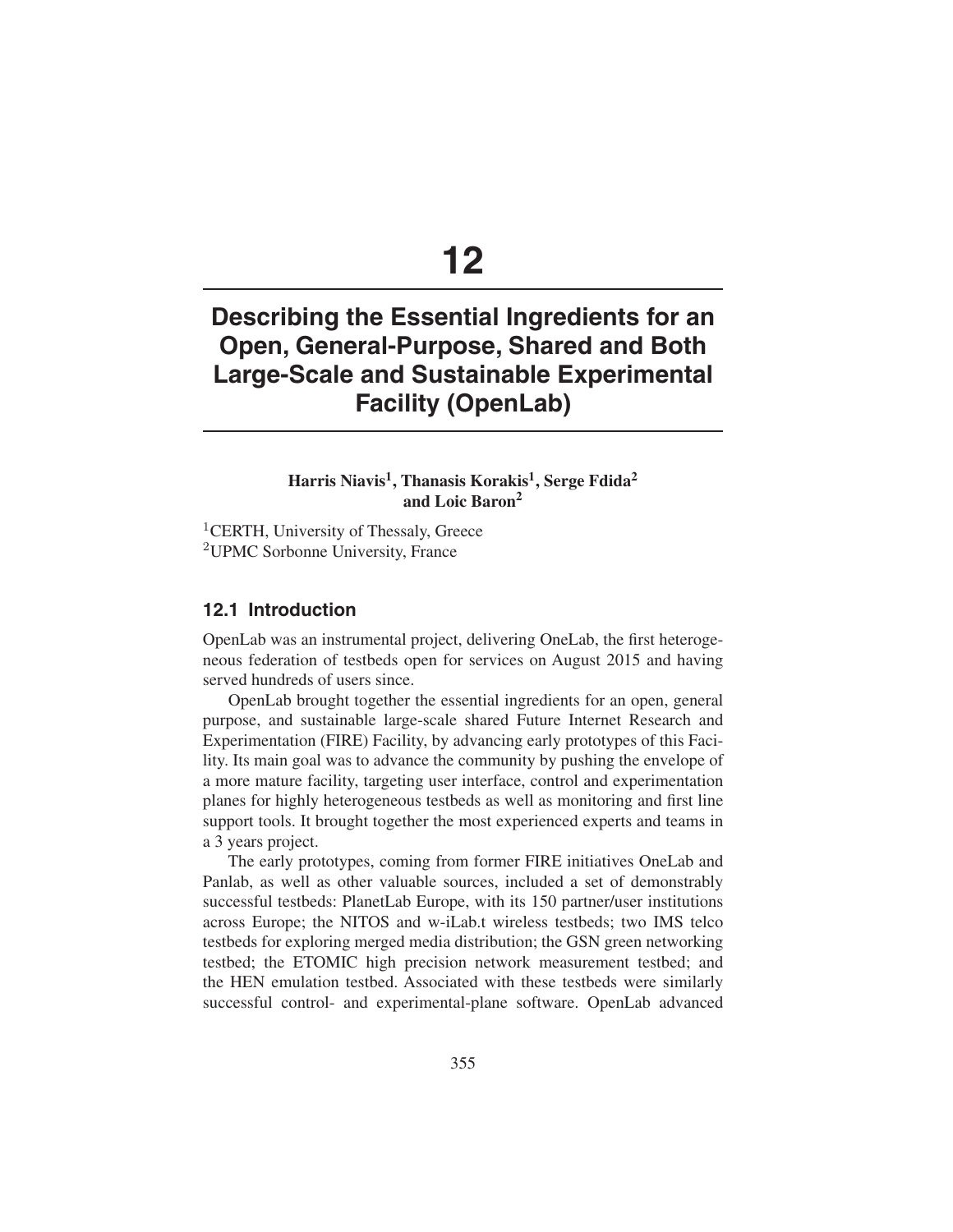# **12**

## **Describing the Essential Ingredients for an Open, General-Purpose, Shared and Both Large-Scale and Sustainable Experimental Facility (OpenLab)**

## **Harris Niavis1, Thanasis Korakis1, Serge Fdida2 and Loic Baron<sup>2</sup>**

<sup>1</sup>CERTH, University of Thessaly, Greece <sup>2</sup>UPMC Sorbonne University, France

## **12.1 Introduction**

OpenLab was an instrumental project, delivering OneLab, the first heterogeneous federation of testbeds open for services on August 2015 and having served hundreds of users since.

OpenLab brought together the essential ingredients for an open, general purpose, and sustainable large-scale shared Future Internet Research and Experimentation (FIRE) Facility, by advancing early prototypes of this Facility. Its main goal was to advance the community by pushing the envelope of a more mature facility, targeting user interface, control and experimentation planes for highly heterogeneous testbeds as well as monitoring and first line support tools. It brought together the most experienced experts and teams in a 3 years project.

The early prototypes, coming from former FIRE initiatives OneLab and Panlab, as well as other valuable sources, included a set of demonstrably successful testbeds: PlanetLab Europe, with its 150 partner/user institutions across Europe; the NITOS and w-iLab.t wireless testbeds; two IMS telco testbeds for exploring merged media distribution; the GSN green networking testbed; the ETOMIC high precision network measurement testbed; and the HEN emulation testbed. Associated with these testbeds were similarly successful control- and experimental-plane software. OpenLab advanced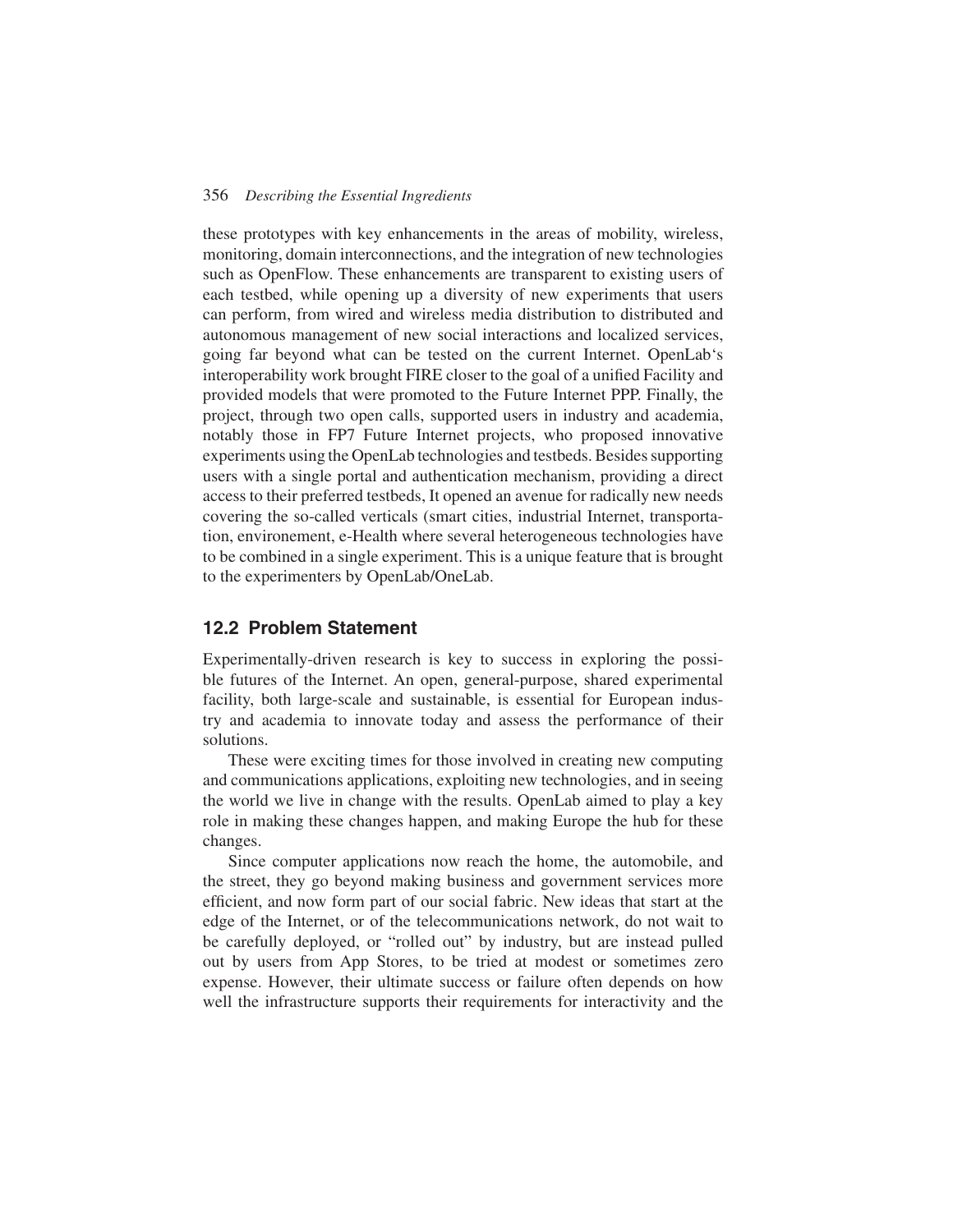these prototypes with key enhancements in the areas of mobility, wireless, monitoring, domain interconnections, and the integration of new technologies such as OpenFlow. These enhancements are transparent to existing users of each testbed, while opening up a diversity of new experiments that users can perform, from wired and wireless media distribution to distributed and autonomous management of new social interactions and localized services, going far beyond what can be tested on the current Internet. OpenLab's interoperability work brought FIRE closer to the goal of a unified Facility and provided models that were promoted to the Future Internet PPP. Finally, the project, through two open calls, supported users in industry and academia, notably those in FP7 Future Internet projects, who proposed innovative experiments using the OpenLab technologies and testbeds. Besides supporting users with a single portal and authentication mechanism, providing a direct access to their preferred testbeds, It opened an avenue for radically new needs covering the so-called verticals (smart cities, industrial Internet, transportation, environement, e-Health where several heterogeneous technologies have to be combined in a single experiment. This is a unique feature that is brought to the experimenters by OpenLab/OneLab.

## **12.2 Problem Statement**

Experimentally-driven research is key to success in exploring the possible futures of the Internet. An open, general-purpose, shared experimental facility, both large-scale and sustainable, is essential for European industry and academia to innovate today and assess the performance of their solutions.

These were exciting times for those involved in creating new computing and communications applications, exploiting new technologies, and in seeing the world we live in change with the results. OpenLab aimed to play a key role in making these changes happen, and making Europe the hub for these changes.

Since computer applications now reach the home, the automobile, and the street, they go beyond making business and government services more efficient, and now form part of our social fabric. New ideas that start at the edge of the Internet, or of the telecommunications network, do not wait to be carefully deployed, or "rolled out" by industry, but are instead pulled out by users from App Stores, to be tried at modest or sometimes zero expense. However, their ultimate success or failure often depends on how well the infrastructure supports their requirements for interactivity and the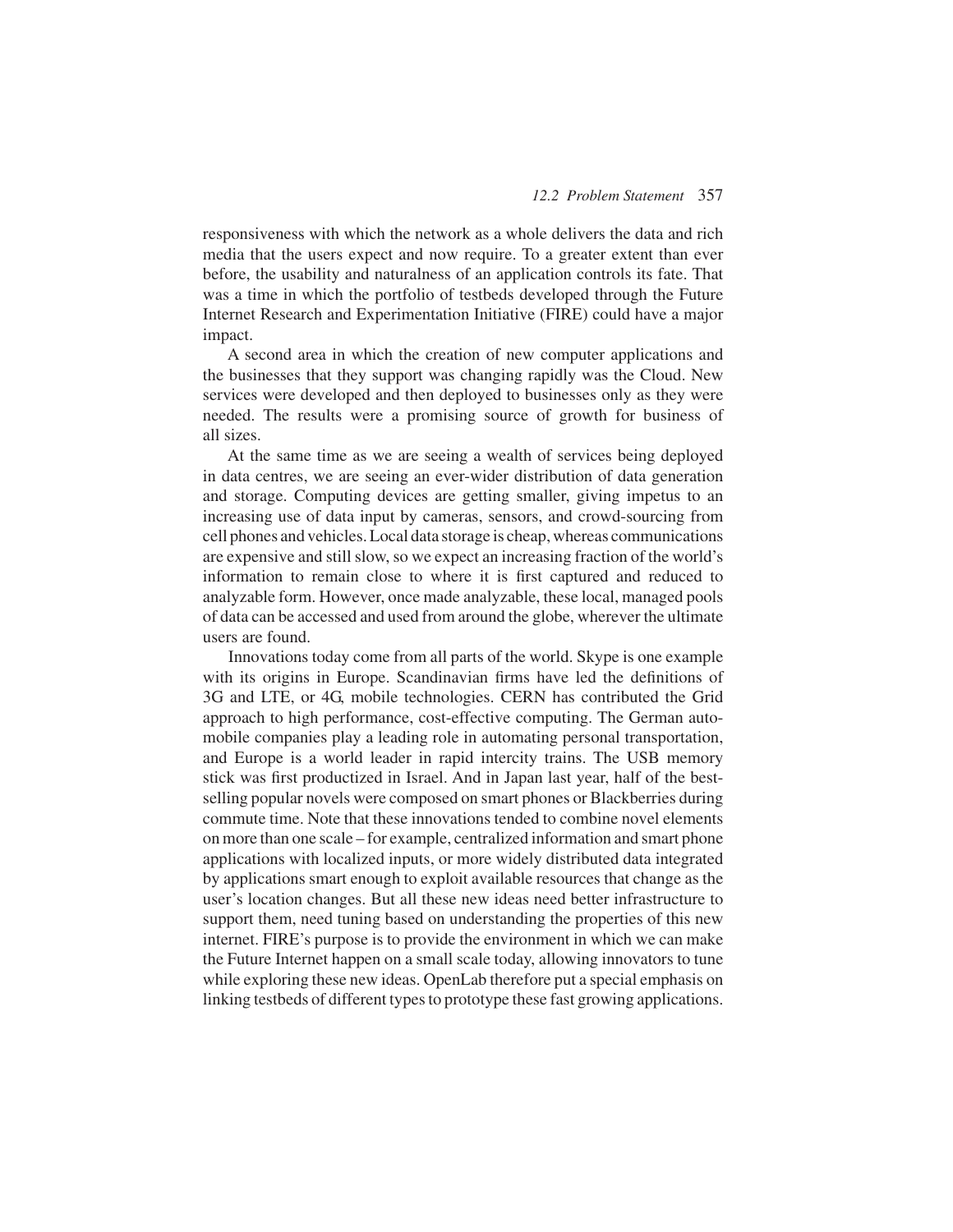responsiveness with which the network as a whole delivers the data and rich media that the users expect and now require. To a greater extent than ever before, the usability and naturalness of an application controls its fate. That was a time in which the portfolio of testbeds developed through the Future Internet Research and Experimentation Initiative (FIRE) could have a major impact.

A second area in which the creation of new computer applications and the businesses that they support was changing rapidly was the Cloud. New services were developed and then deployed to businesses only as they were needed. The results were a promising source of growth for business of all sizes.

At the same time as we are seeing a wealth of services being deployed in data centres, we are seeing an ever-wider distribution of data generation and storage. Computing devices are getting smaller, giving impetus to an increasing use of data input by cameras, sensors, and crowd-sourcing from cell phones and vehicles. Local data storage is cheap, whereas communications are expensive and still slow, so we expect an increasing fraction of the world's information to remain close to where it is first captured and reduced to analyzable form. However, once made analyzable, these local, managed pools of data can be accessed and used from around the globe, wherever the ultimate users are found.

Innovations today come from all parts of the world. Skype is one example with its origins in Europe. Scandinavian firms have led the definitions of 3G and LTE, or 4G, mobile technologies. CERN has contributed the Grid approach to high performance, cost-effective computing. The German automobile companies play a leading role in automating personal transportation, and Europe is a world leader in rapid intercity trains. The USB memory stick was first productized in Israel. And in Japan last year, half of the bestselling popular novels were composed on smart phones or Blackberries during commute time. Note that these innovations tended to combine novel elements on more than one scale – for example, centralized information and smart phone applications with localized inputs, or more widely distributed data integrated by applications smart enough to exploit available resources that change as the user's location changes. But all these new ideas need better infrastructure to support them, need tuning based on understanding the properties of this new internet. FIRE's purpose is to provide the environment in which we can make the Future Internet happen on a small scale today, allowing innovators to tune while exploring these new ideas. OpenLab therefore put a special emphasis on linking testbeds of different types to prototype these fast growing applications.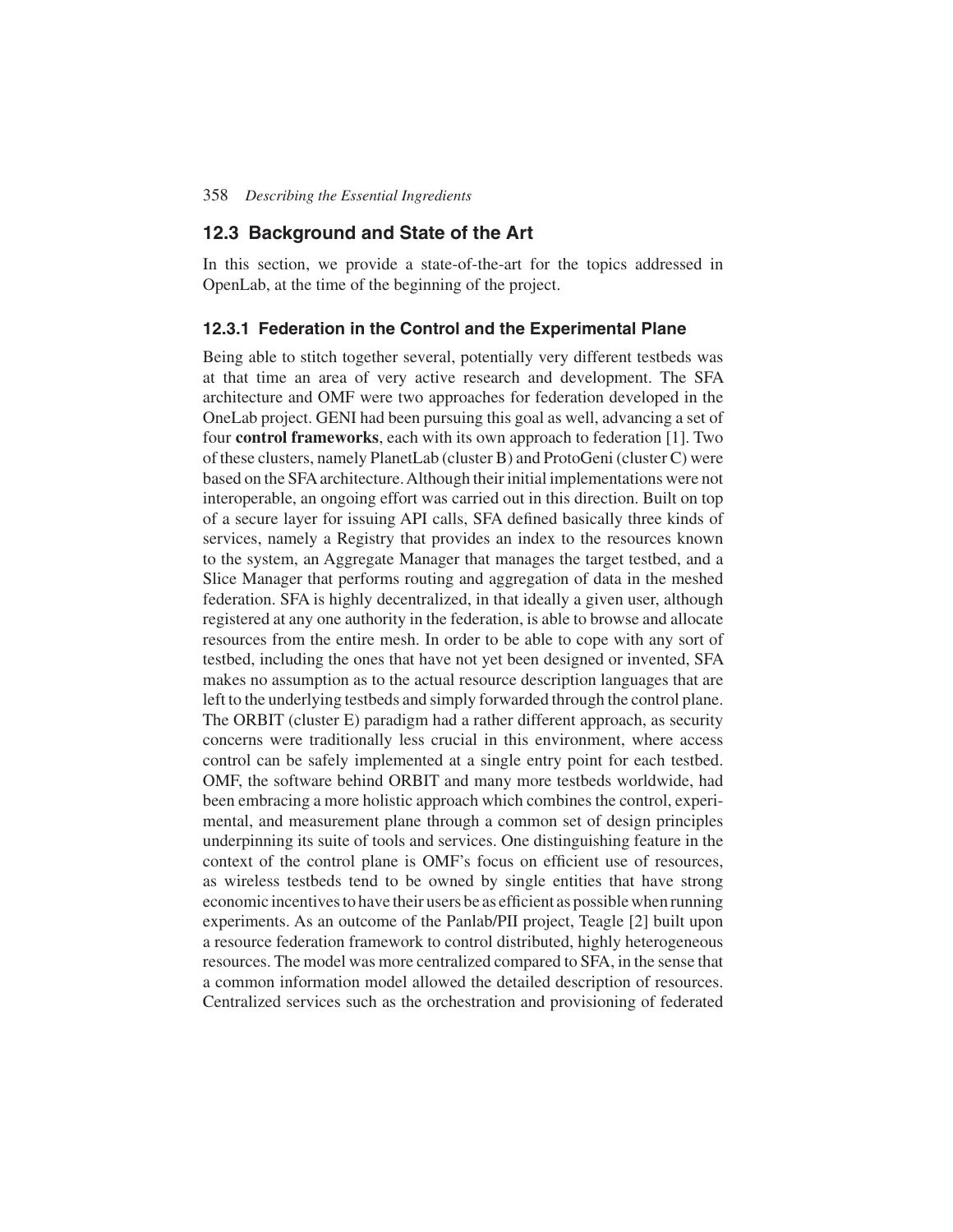## **12.3 Background and State of the Art**

In this section, we provide a state-of-the-art for the topics addressed in OpenLab, at the time of the beginning of the project.

#### **12.3.1 Federation in the Control and the Experimental Plane**

Being able to stitch together several, potentially very different testbeds was at that time an area of very active research and development. The SFA architecture and OMF were two approaches for federation developed in the OneLab project. GENI had been pursuing this goal as well, advancing a set of four **control frameworks**, each with its own approach to federation [1]. Two of these clusters, namely PlanetLab (cluster B) and ProtoGeni (cluster C) were based on the SFA architecture.Although their initial implementations were not interoperable, an ongoing effort was carried out in this direction. Built on top of a secure layer for issuing API calls, SFA defined basically three kinds of services, namely a Registry that provides an index to the resources known to the system, an Aggregate Manager that manages the target testbed, and a Slice Manager that performs routing and aggregation of data in the meshed federation. SFA is highly decentralized, in that ideally a given user, although registered at any one authority in the federation, is able to browse and allocate resources from the entire mesh. In order to be able to cope with any sort of testbed, including the ones that have not yet been designed or invented, SFA makes no assumption as to the actual resource description languages that are left to the underlying testbeds and simply forwarded through the control plane. The ORBIT (cluster E) paradigm had a rather different approach, as security concerns were traditionally less crucial in this environment, where access control can be safely implemented at a single entry point for each testbed. OMF, the software behind ORBIT and many more testbeds worldwide, had been embracing a more holistic approach which combines the control, experimental, and measurement plane through a common set of design principles underpinning its suite of tools and services. One distinguishing feature in the context of the control plane is OMF's focus on efficient use of resources, as wireless testbeds tend to be owned by single entities that have strong economic incentives to have their users be as efficient as possible when running experiments. As an outcome of the Panlab/PII project, Teagle [2] built upon a resource federation framework to control distributed, highly heterogeneous resources. The model was more centralized compared to SFA, in the sense that a common information model allowed the detailed description of resources. Centralized services such as the orchestration and provisioning of federated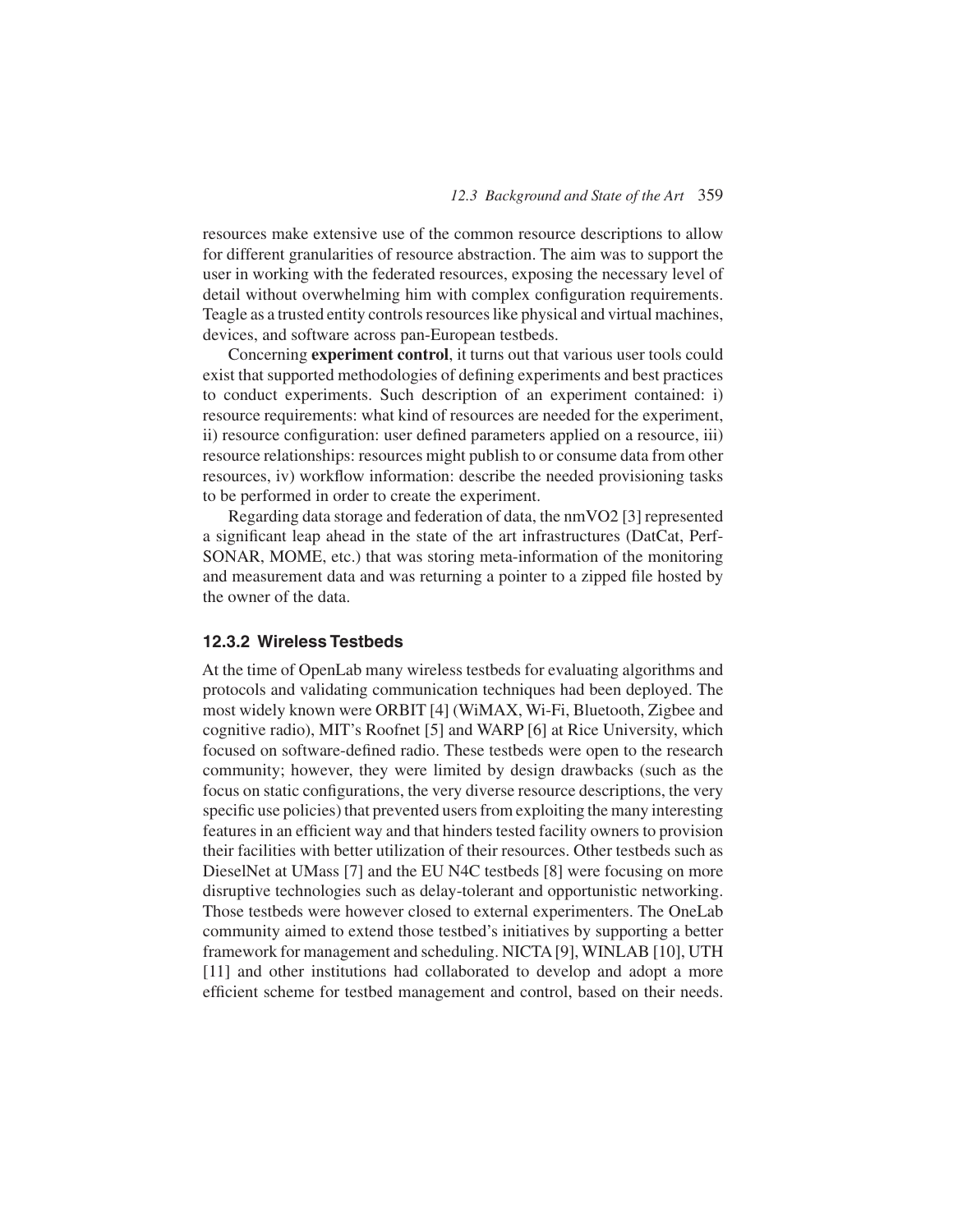resources make extensive use of the common resource descriptions to allow for different granularities of resource abstraction. The aim was to support the user in working with the federated resources, exposing the necessary level of detail without overwhelming him with complex configuration requirements. Teagle as a trusted entity controls resources like physical and virtual machines, devices, and software across pan-European testbeds.

Concerning **experiment control**, it turns out that various user tools could exist that supported methodologies of defining experiments and best practices to conduct experiments. Such description of an experiment contained: i) resource requirements: what kind of resources are needed for the experiment, ii) resource configuration: user defined parameters applied on a resource, iii) resource relationships: resources might publish to or consume data from other resources, iv) workflow information: describe the needed provisioning tasks to be performed in order to create the experiment.

Regarding data storage and federation of data, the nmVO2 [3] represented a significant leap ahead in the state of the art infrastructures (DatCat, Perf-SONAR, MOME, etc.) that was storing meta-information of the monitoring and measurement data and was returning a pointer to a zipped file hosted by the owner of the data.

## **12.3.2 Wireless Testbeds**

At the time of OpenLab many wireless testbeds for evaluating algorithms and protocols and validating communication techniques had been deployed. The most widely known were ORBIT [4] (WiMAX, Wi-Fi, Bluetooth, Zigbee and cognitive radio), MIT's Roofnet [5] and WARP [6] at Rice University, which focused on software-defined radio. These testbeds were open to the research community; however, they were limited by design drawbacks (such as the focus on static configurations, the very diverse resource descriptions, the very specific use policies) that prevented users from exploiting the many interesting features in an efficient way and that hinders tested facility owners to provision their facilities with better utilization of their resources. Other testbeds such as DieselNet at UMass [7] and the EU N4C testbeds [8] were focusing on more disruptive technologies such as delay-tolerant and opportunistic networking. Those testbeds were however closed to external experimenters. The OneLab community aimed to extend those testbed's initiatives by supporting a better framework for management and scheduling. NICTA [9], WINLAB [10], UTH [11] and other institutions had collaborated to develop and adopt a more efficient scheme for testbed management and control, based on their needs.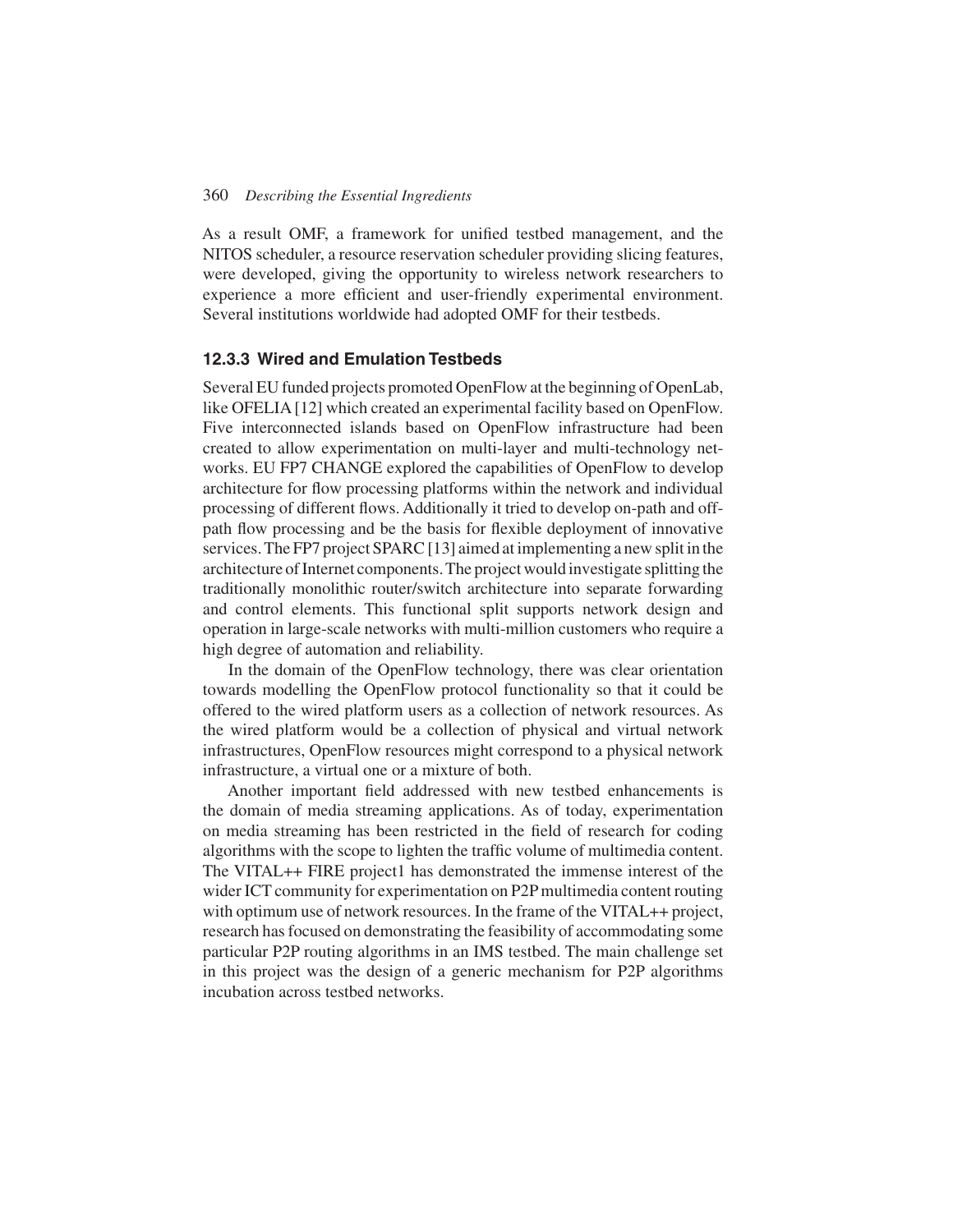As a result OMF, a framework for unified testbed management, and the NITOS scheduler, a resource reservation scheduler providing slicing features, were developed, giving the opportunity to wireless network researchers to experience a more efficient and user-friendly experimental environment. Several institutions worldwide had adopted OMF for their testbeds.

## **12.3.3 Wired and Emulation Testbeds**

Several EU funded projects promoted OpenFlow at the beginning of OpenLab, like OFELIA [12] which created an experimental facility based on OpenFlow. Five interconnected islands based on OpenFlow infrastructure had been created to allow experimentation on multi-layer and multi-technology networks. EU FP7 CHANGE explored the capabilities of OpenFlow to develop architecture for flow processing platforms within the network and individual processing of different flows. Additionally it tried to develop on-path and offpath flow processing and be the basis for flexible deployment of innovative services. The FP7 project SPARC [13] aimed at implementing a new split in the architecture of Internet components. The project would investigate splitting the traditionally monolithic router/switch architecture into separate forwarding and control elements. This functional split supports network design and operation in large-scale networks with multi-million customers who require a high degree of automation and reliability.

In the domain of the OpenFlow technology, there was clear orientation towards modelling the OpenFlow protocol functionality so that it could be offered to the wired platform users as a collection of network resources. As the wired platform would be a collection of physical and virtual network infrastructures, OpenFlow resources might correspond to a physical network infrastructure, a virtual one or a mixture of both.

Another important field addressed with new testbed enhancements is the domain of media streaming applications. As of today, experimentation on media streaming has been restricted in the field of research for coding algorithms with the scope to lighten the traffic volume of multimedia content. The VITAL++ FIRE project1 has demonstrated the immense interest of the wider ICT community for experimentation on P2P multimedia content routing with optimum use of network resources. In the frame of the VITAL++ project, research has focused on demonstrating the feasibility of accommodating some particular P2P routing algorithms in an IMS testbed. The main challenge set in this project was the design of a generic mechanism for P2P algorithms incubation across testbed networks.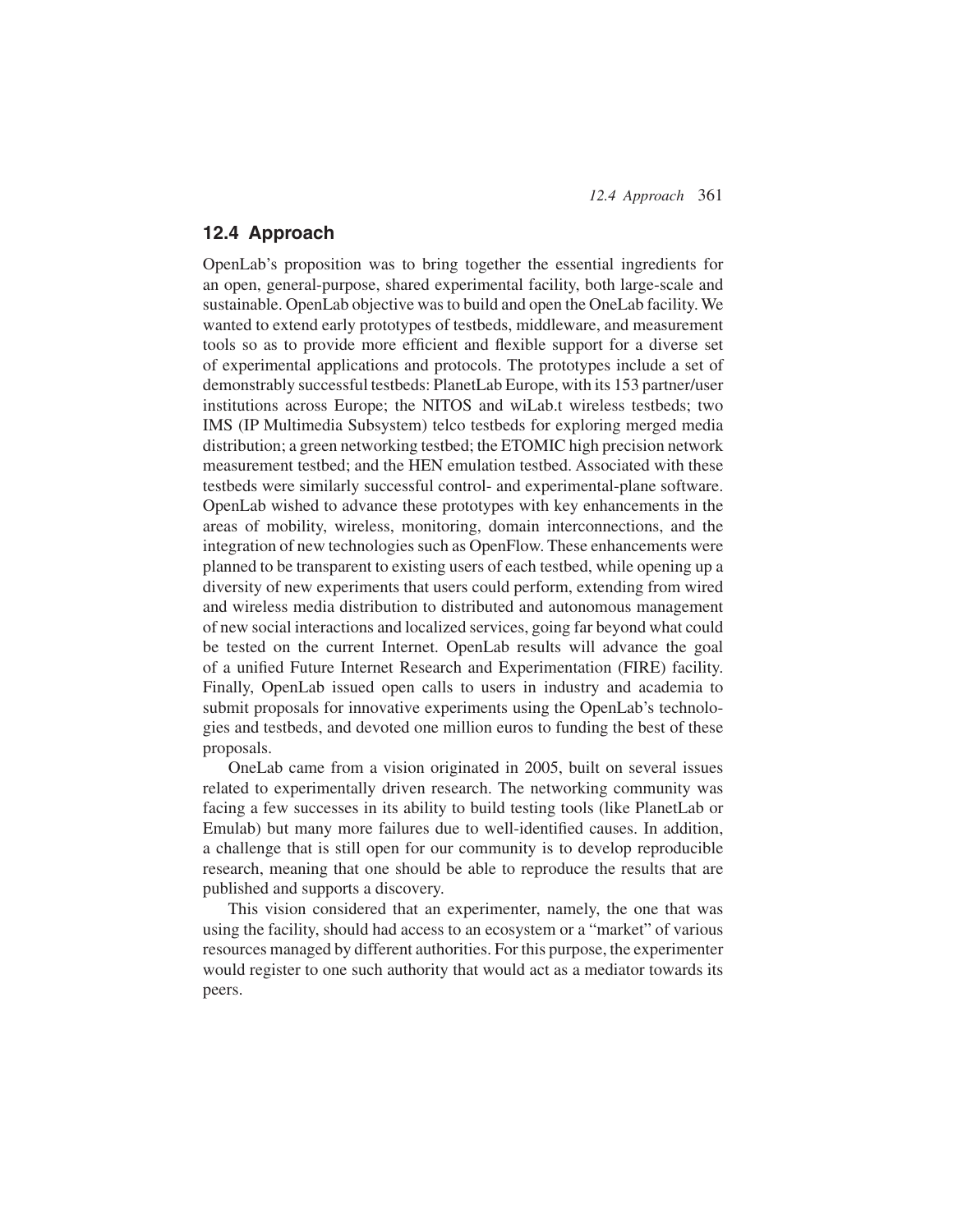## **12.4 Approach**

OpenLab's proposition was to bring together the essential ingredients for an open, general-purpose, shared experimental facility, both large-scale and sustainable. OpenLab objective was to build and open the OneLab facility. We wanted to extend early prototypes of testbeds, middleware, and measurement tools so as to provide more efficient and flexible support for a diverse set of experimental applications and protocols. The prototypes include a set of demonstrably successful testbeds: PlanetLab Europe, with its 153 partner/user institutions across Europe; the NITOS and wiLab.t wireless testbeds; two IMS (IP Multimedia Subsystem) telco testbeds for exploring merged media distribution; a green networking testbed; the ETOMIC high precision network measurement testbed; and the HEN emulation testbed. Associated with these testbeds were similarly successful control- and experimental-plane software. OpenLab wished to advance these prototypes with key enhancements in the areas of mobility, wireless, monitoring, domain interconnections, and the integration of new technologies such as OpenFlow. These enhancements were planned to be transparent to existing users of each testbed, while opening up a diversity of new experiments that users could perform, extending from wired and wireless media distribution to distributed and autonomous management of new social interactions and localized services, going far beyond what could be tested on the current Internet. OpenLab results will advance the goal of a unified Future Internet Research and Experimentation (FIRE) facility. Finally, OpenLab issued open calls to users in industry and academia to submit proposals for innovative experiments using the OpenLab's technologies and testbeds, and devoted one million euros to funding the best of these proposals.

OneLab came from a vision originated in 2005, built on several issues related to experimentally driven research. The networking community was facing a few successes in its ability to build testing tools (like PlanetLab or Emulab) but many more failures due to well-identified causes. In addition, a challenge that is still open for our community is to develop reproducible research, meaning that one should be able to reproduce the results that are published and supports a discovery.

This vision considered that an experimenter, namely, the one that was using the facility, should had access to an ecosystem or a "market" of various resources managed by different authorities. For this purpose, the experimenter would register to one such authority that would act as a mediator towards its peers.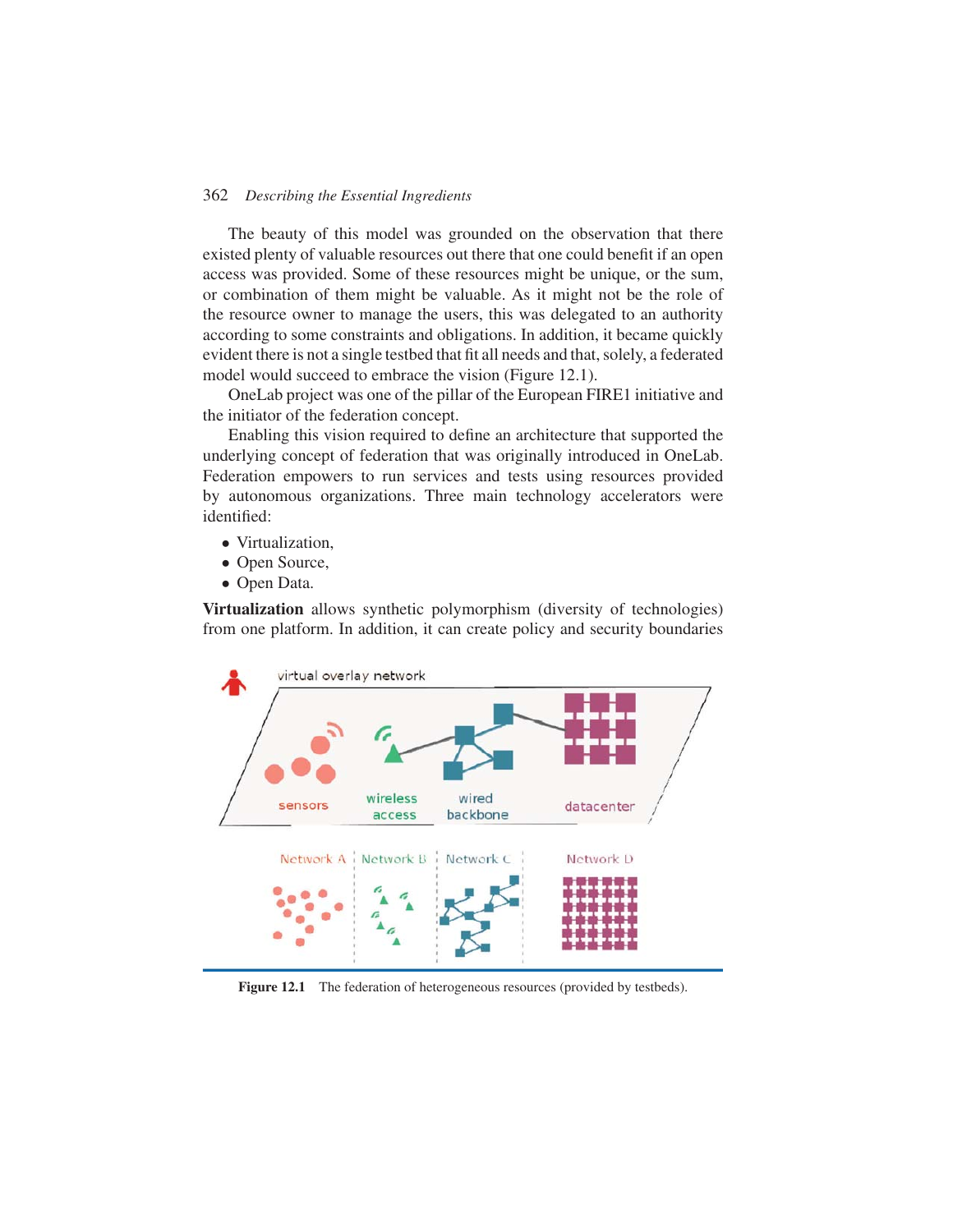The beauty of this model was grounded on the observation that there existed plenty of valuable resources out there that one could benefit if an open access was provided. Some of these resources might be unique, or the sum, or combination of them might be valuable. As it might not be the role of the resource owner to manage the users, this was delegated to an authority according to some constraints and obligations. In addition, it became quickly evident there is not a single testbed that fit all needs and that, solely, a federated model would succeed to embrace the vision (Figure 12.1).

OneLab project was one of the pillar of the European FIRE1 initiative and the initiator of the federation concept.

Enabling this vision required to define an architecture that supported the underlying concept of federation that was originally introduced in OneLab. Federation empowers to run services and tests using resources provided by autonomous organizations. Three main technology accelerators were identified:

- Virtualization,
- Open Source,
- Open Data.

**Virtualization** allows synthetic polymorphism (diversity of technologies) from one platform. In addition, it can create policy and security boundaries



Figure 12.1 The federation of heterogeneous resources (provided by testbeds).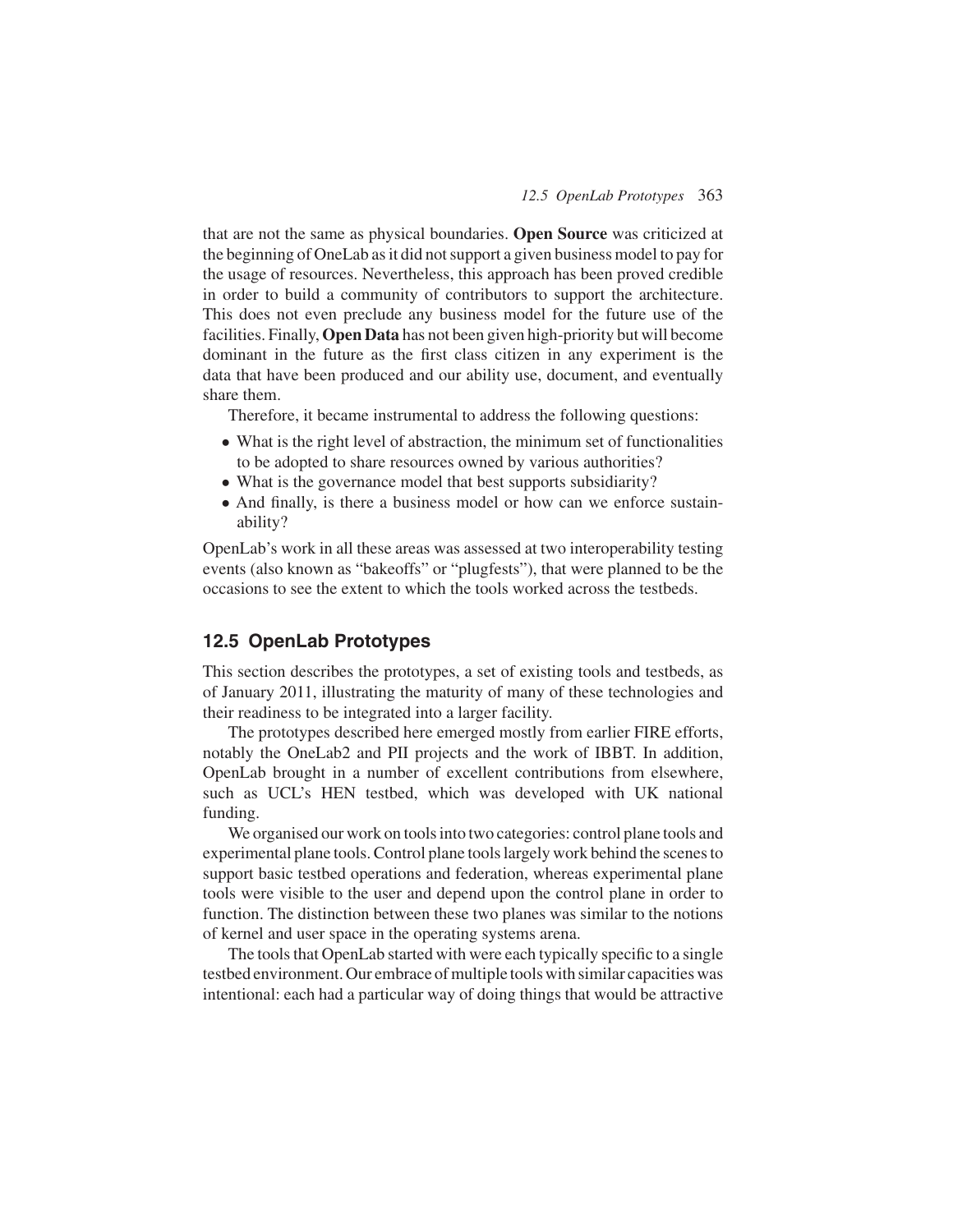that are not the same as physical boundaries. **Open Source** was criticized at the beginning of OneLab as it did not support a given business model to pay for the usage of resources. Nevertheless, this approach has been proved credible in order to build a community of contributors to support the architecture. This does not even preclude any business model for the future use of the facilities. Finally, **Open Data** has not been given high-priority but will become dominant in the future as the first class citizen in any experiment is the data that have been produced and our ability use, document, and eventually share them.

Therefore, it became instrumental to address the following questions:

- What is the right level of abstraction, the minimum set of functionalities to be adopted to share resources owned by various authorities?
- What is the governance model that best supports subsidiarity?
- And finally, is there a business model or how can we enforce sustainability?

OpenLab's work in all these areas was assessed at two interoperability testing events (also known as "bakeoffs" or "plugfests"), that were planned to be the occasions to see the extent to which the tools worked across the testbeds.

## **12.5 OpenLab Prototypes**

This section describes the prototypes, a set of existing tools and testbeds, as of January 2011, illustrating the maturity of many of these technologies and their readiness to be integrated into a larger facility.

The prototypes described here emerged mostly from earlier FIRE efforts, notably the OneLab2 and PII projects and the work of IBBT. In addition, OpenLab brought in a number of excellent contributions from elsewhere, such as UCL's HEN testbed, which was developed with UK national funding.

We organised our work on tools into two categories: control plane tools and experimental plane tools. Control plane tools largely work behind the scenes to support basic testbed operations and federation, whereas experimental plane tools were visible to the user and depend upon the control plane in order to function. The distinction between these two planes was similar to the notions of kernel and user space in the operating systems arena.

The tools that OpenLab started with were each typically specific to a single testbed environment. Our embrace of multiple tools with similar capacities was intentional: each had a particular way of doing things that would be attractive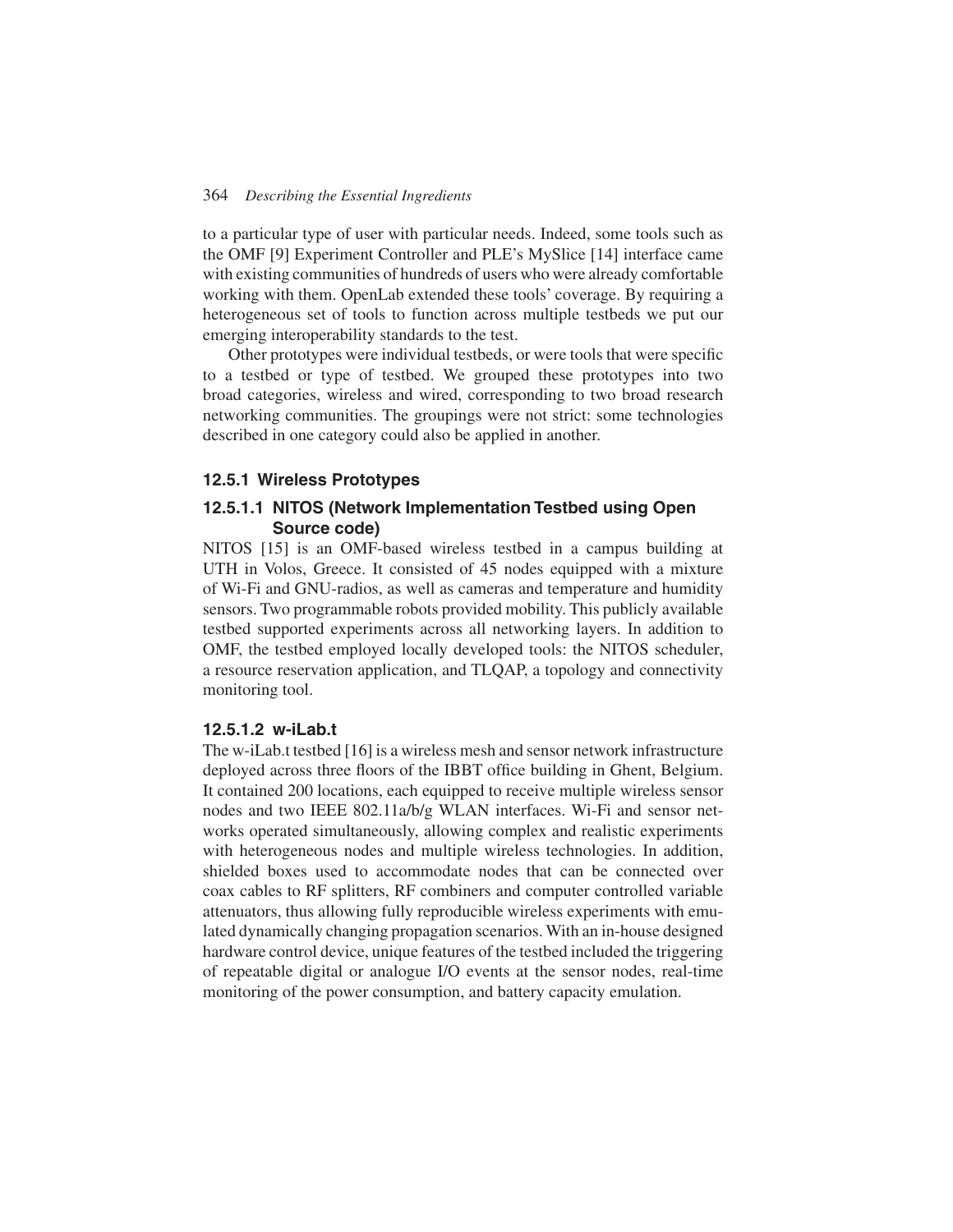to a particular type of user with particular needs. Indeed, some tools such as the OMF [9] Experiment Controller and PLE's MySlice [14] interface came with existing communities of hundreds of users who were already comfortable working with them. OpenLab extended these tools' coverage. By requiring a heterogeneous set of tools to function across multiple testbeds we put our emerging interoperability standards to the test.

Other prototypes were individual testbeds, or were tools that were specific to a testbed or type of testbed. We grouped these prototypes into two broad categories, wireless and wired, corresponding to two broad research networking communities. The groupings were not strict: some technologies described in one category could also be applied in another.

#### **12.5.1 Wireless Prototypes**

## **12.5.1.1 NITOS (Network Implementation Testbed using Open Source code)**

NITOS [15] is an OMF-based wireless testbed in a campus building at UTH in Volos, Greece. It consisted of 45 nodes equipped with a mixture of Wi-Fi and GNU-radios, as well as cameras and temperature and humidity sensors. Two programmable robots provided mobility. This publicly available testbed supported experiments across all networking layers. In addition to OMF, the testbed employed locally developed tools: the NITOS scheduler, a resource reservation application, and TLQAP, a topology and connectivity monitoring tool.

#### **12.5.1.2 w-iLab.t**

The w-iLab.t testbed [16] is a wireless mesh and sensor network infrastructure deployed across three floors of the IBBT office building in Ghent, Belgium. It contained 200 locations, each equipped to receive multiple wireless sensor nodes and two IEEE 802.11a/b/g WLAN interfaces. Wi-Fi and sensor networks operated simultaneously, allowing complex and realistic experiments with heterogeneous nodes and multiple wireless technologies. In addition, shielded boxes used to accommodate nodes that can be connected over coax cables to RF splitters, RF combiners and computer controlled variable attenuators, thus allowing fully reproducible wireless experiments with emulated dynamically changing propagation scenarios. With an in-house designed hardware control device, unique features of the testbed included the triggering of repeatable digital or analogue I/O events at the sensor nodes, real-time monitoring of the power consumption, and battery capacity emulation.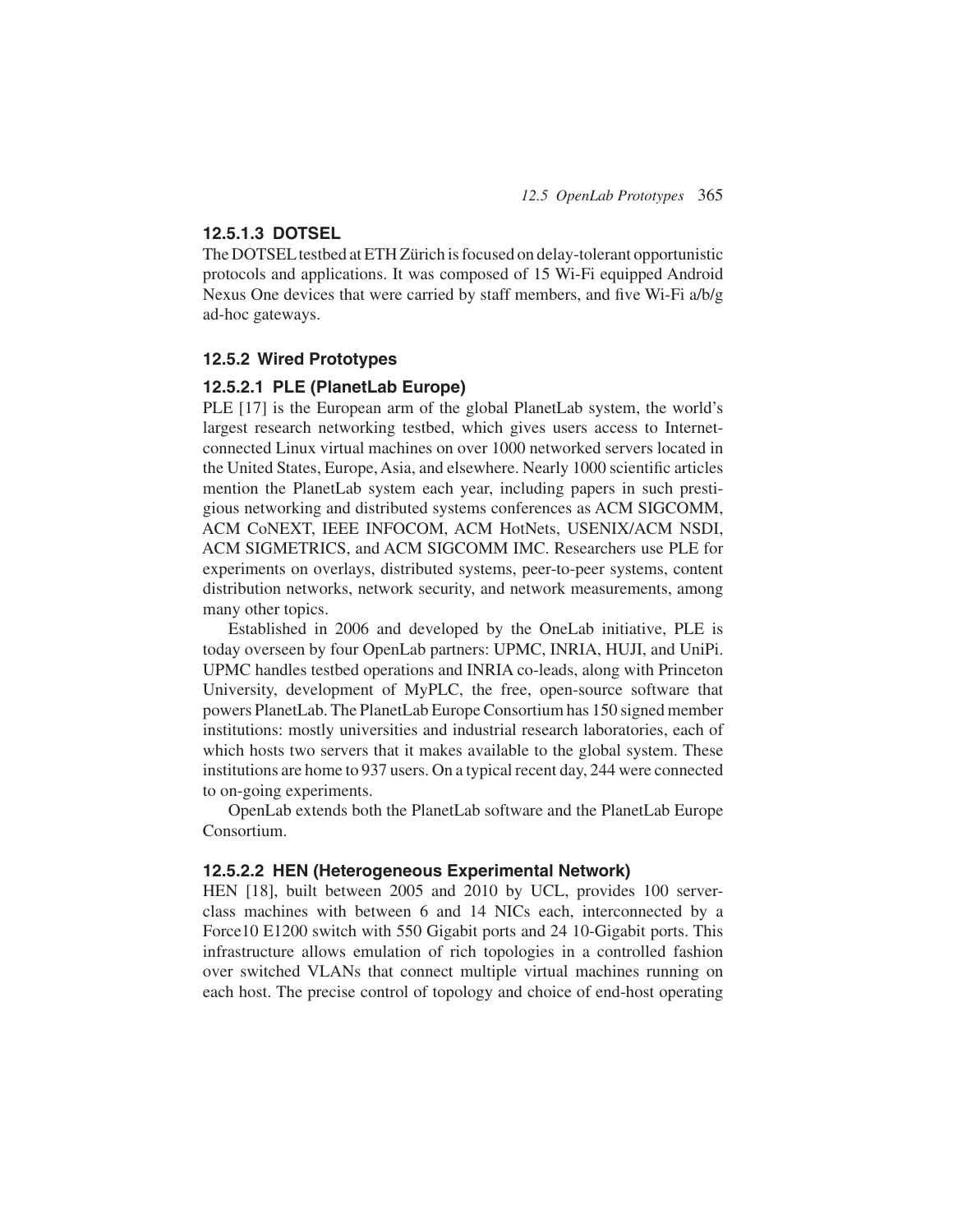## **12.5.1.3 DOTSEL**

The DOTSEL testbed at ETH Zürich is focused on delay-tolerant opportunistic protocols and applications. It was composed of 15 Wi-Fi equipped Android Nexus One devices that were carried by staff members, and five Wi-Fi a/b/g ad-hoc gateways.

## **12.5.2 Wired Prototypes**

#### **12.5.2.1 PLE (PlanetLab Europe)**

PLE [17] is the European arm of the global PlanetLab system, the world's largest research networking testbed, which gives users access to Internetconnected Linux virtual machines on over 1000 networked servers located in the United States, Europe, Asia, and elsewhere. Nearly 1000 scientific articles mention the PlanetLab system each year, including papers in such prestigious networking and distributed systems conferences as ACM SIGCOMM, ACM CoNEXT, IEEE INFOCOM, ACM HotNets, USENIX/ACM NSDI, ACM SIGMETRICS, and ACM SIGCOMM IMC. Researchers use PLE for experiments on overlays, distributed systems, peer-to-peer systems, content distribution networks, network security, and network measurements, among many other topics.

Established in 2006 and developed by the OneLab initiative, PLE is today overseen by four OpenLab partners: UPMC, INRIA, HUJI, and UniPi. UPMC handles testbed operations and INRIA co-leads, along with Princeton University, development of MyPLC, the free, open-source software that powers PlanetLab. The PlanetLab Europe Consortium has 150 signed member institutions: mostly universities and industrial research laboratories, each of which hosts two servers that it makes available to the global system. These institutions are home to 937 users. On a typical recent day, 244 were connected to on-going experiments.

OpenLab extends both the PlanetLab software and the PlanetLab Europe Consortium.

#### **12.5.2.2 HEN (Heterogeneous Experimental Network)**

HEN [18], built between 2005 and 2010 by UCL, provides 100 serverclass machines with between 6 and 14 NICs each, interconnected by a Force10 E1200 switch with 550 Gigabit ports and 24 10-Gigabit ports. This infrastructure allows emulation of rich topologies in a controlled fashion over switched VLANs that connect multiple virtual machines running on each host. The precise control of topology and choice of end-host operating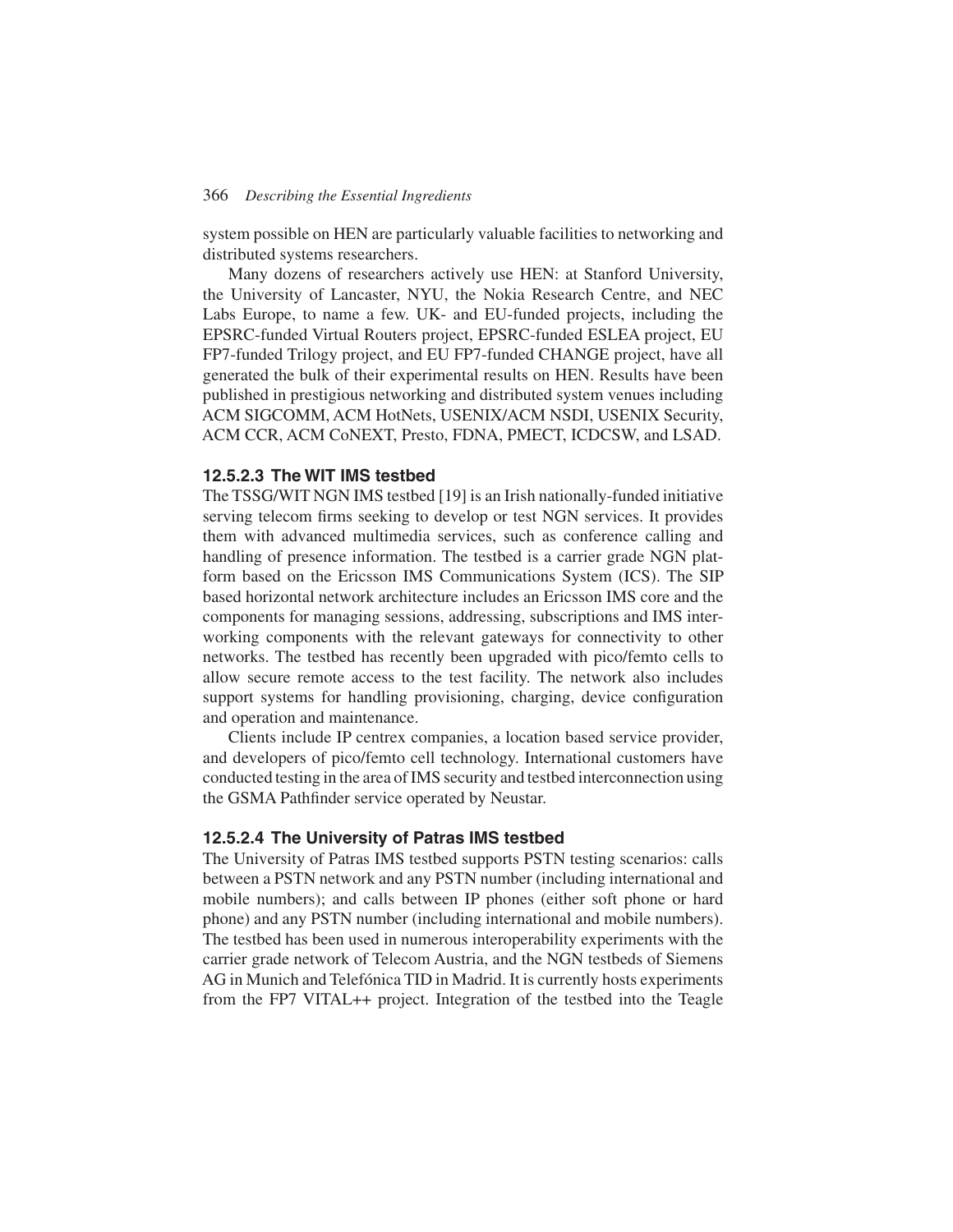system possible on HEN are particularly valuable facilities to networking and distributed systems researchers.

Many dozens of researchers actively use HEN: at Stanford University, the University of Lancaster, NYU, the Nokia Research Centre, and NEC Labs Europe, to name a few. UK- and EU-funded projects, including the EPSRC-funded Virtual Routers project, EPSRC-funded ESLEA project, EU FP7-funded Trilogy project, and EU FP7-funded CHANGE project, have all generated the bulk of their experimental results on HEN. Results have been published in prestigious networking and distributed system venues including ACM SIGCOMM, ACM HotNets, USENIX/ACM NSDI, USENIX Security, ACM CCR, ACM CoNEXT, Presto, FDNA, PMECT, ICDCSW, and LSAD.

## **12.5.2.3 The WIT IMS testbed**

The TSSG/WIT NGN IMS testbed [19] is an Irish nationally-funded initiative serving telecom firms seeking to develop or test NGN services. It provides them with advanced multimedia services, such as conference calling and handling of presence information. The testbed is a carrier grade NGN platform based on the Ericsson IMS Communications System (ICS). The SIP based horizontal network architecture includes an Ericsson IMS core and the components for managing sessions, addressing, subscriptions and IMS interworking components with the relevant gateways for connectivity to other networks. The testbed has recently been upgraded with pico/femto cells to allow secure remote access to the test facility. The network also includes support systems for handling provisioning, charging, device configuration and operation and maintenance.

Clients include IP centrex companies, a location based service provider, and developers of pico/femto cell technology. International customers have conducted testing in the area of IMS security and testbed interconnection using the GSMA Pathfinder service operated by Neustar.

#### **12.5.2.4 The University of Patras IMS testbed**

The University of Patras IMS testbed supports PSTN testing scenarios: calls between a PSTN network and any PSTN number (including international and mobile numbers); and calls between IP phones (either soft phone or hard phone) and any PSTN number (including international and mobile numbers). The testbed has been used in numerous interoperability experiments with the carrier grade network of Telecom Austria, and the NGN testbeds of Siemens AG in Munich and Telefónica TID in Madrid. It is currently hosts experiments from the FP7 VITAL++ project. Integration of the testbed into the Teagle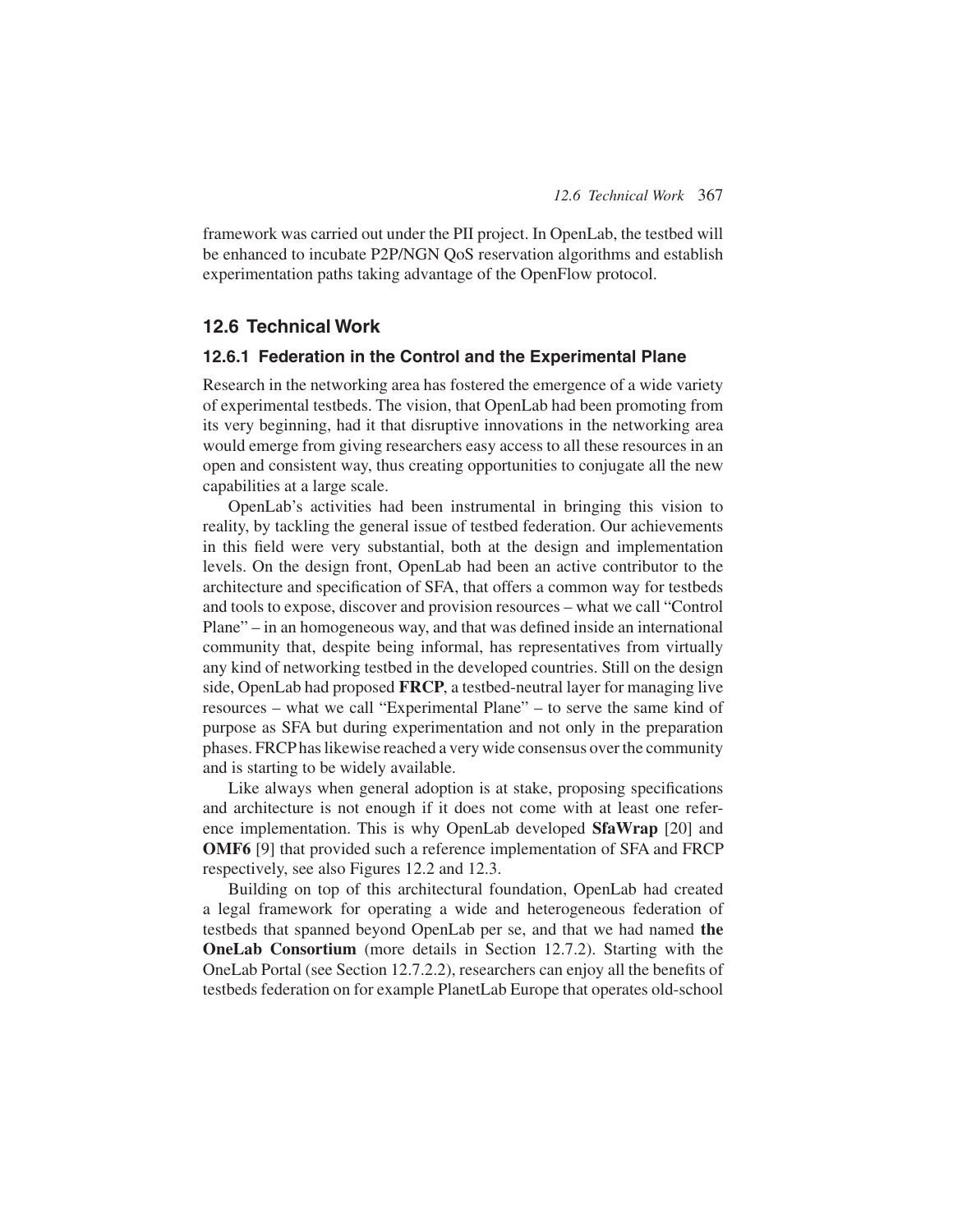framework was carried out under the PII project. In OpenLab, the testbed will be enhanced to incubate P2P/NGN QoS reservation algorithms and establish experimentation paths taking advantage of the OpenFlow protocol.

## **12.6 Technical Work**

#### **12.6.1 Federation in the Control and the Experimental Plane**

Research in the networking area has fostered the emergence of a wide variety of experimental testbeds. The vision, that OpenLab had been promoting from its very beginning, had it that disruptive innovations in the networking area would emerge from giving researchers easy access to all these resources in an open and consistent way, thus creating opportunities to conjugate all the new capabilities at a large scale.

OpenLab's activities had been instrumental in bringing this vision to reality, by tackling the general issue of testbed federation. Our achievements in this field were very substantial, both at the design and implementation levels. On the design front, OpenLab had been an active contributor to the architecture and specification of SFA, that offers a common way for testbeds and tools to expose, discover and provision resources – what we call "Control Plane" – in an homogeneous way, and that was defined inside an international community that, despite being informal, has representatives from virtually any kind of networking testbed in the developed countries. Still on the design side, OpenLab had proposed **FRCP**, a testbed-neutral layer for managing live resources – what we call "Experimental Plane" – to serve the same kind of purpose as SFA but during experimentation and not only in the preparation phases. FRCP has likewise reached a very wide consensus over the community and is starting to be widely available.

Like always when general adoption is at stake, proposing specifications and architecture is not enough if it does not come with at least one reference implementation. This is why OpenLab developed **SfaWrap** [20] and **OMF6** [9] that provided such a reference implementation of SFA and FRCP respectively, see also Figures 12.2 and 12.3.

Building on top of this architectural foundation, OpenLab had created a legal framework for operating a wide and heterogeneous federation of testbeds that spanned beyond OpenLab per se, and that we had named **the OneLab Consortium** (more details in Section 12.7.2). Starting with the OneLab Portal (see Section 12.7.2.2), researchers can enjoy all the benefits of testbeds federation on for example PlanetLab Europe that operates old-school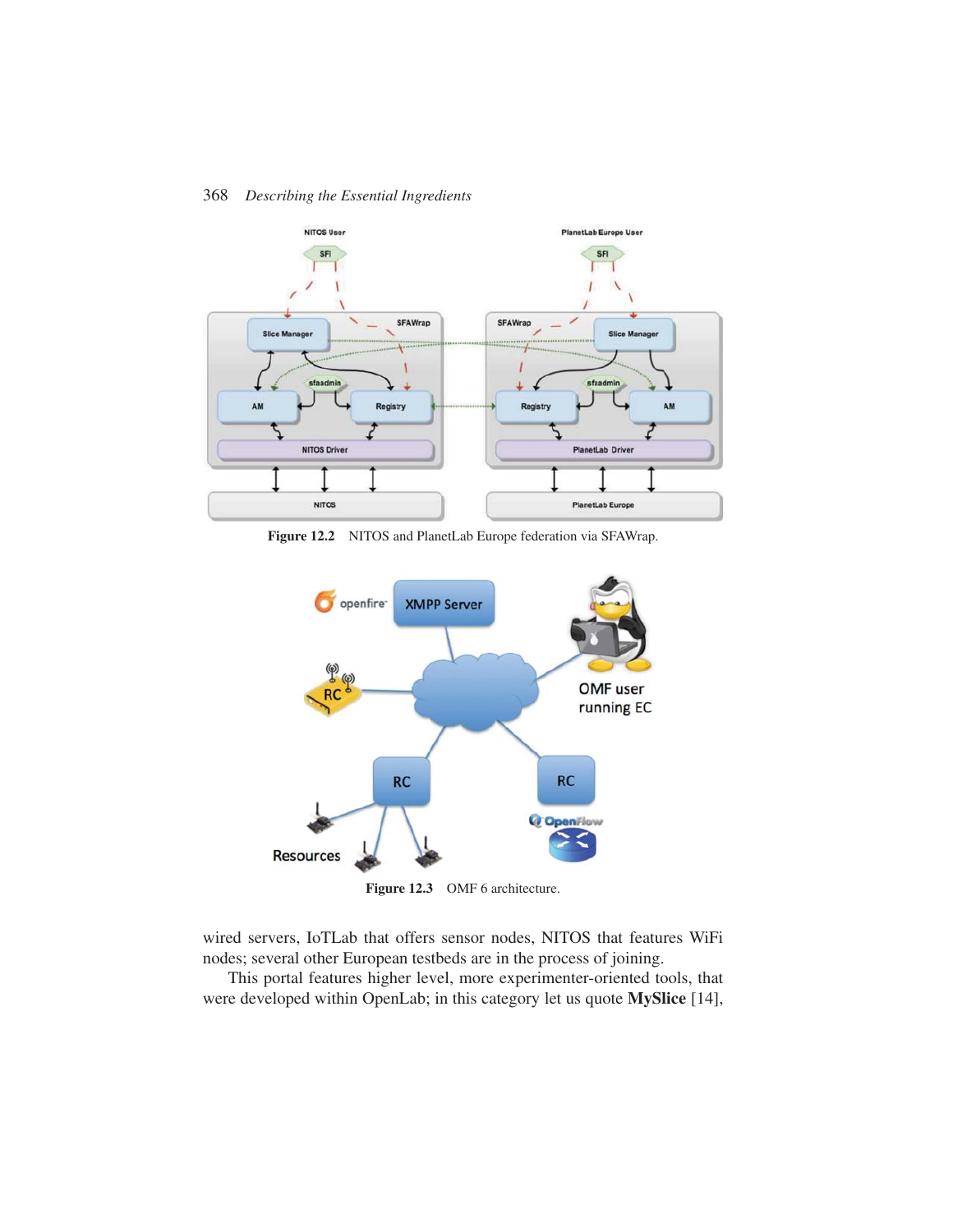

**Figure 12.2** NITOS and PlanetLab Europe federation via SFAWrap.



**Figure 12.3** OMF 6 architecture.

wired servers, IoTLab that offers sensor nodes, NITOS that features WiFi nodes; several other European testbeds are in the process of joining.

This portal features higher level, more experimenter-oriented tools, that were developed within OpenLab; in this category let us quote **MySlice** [14],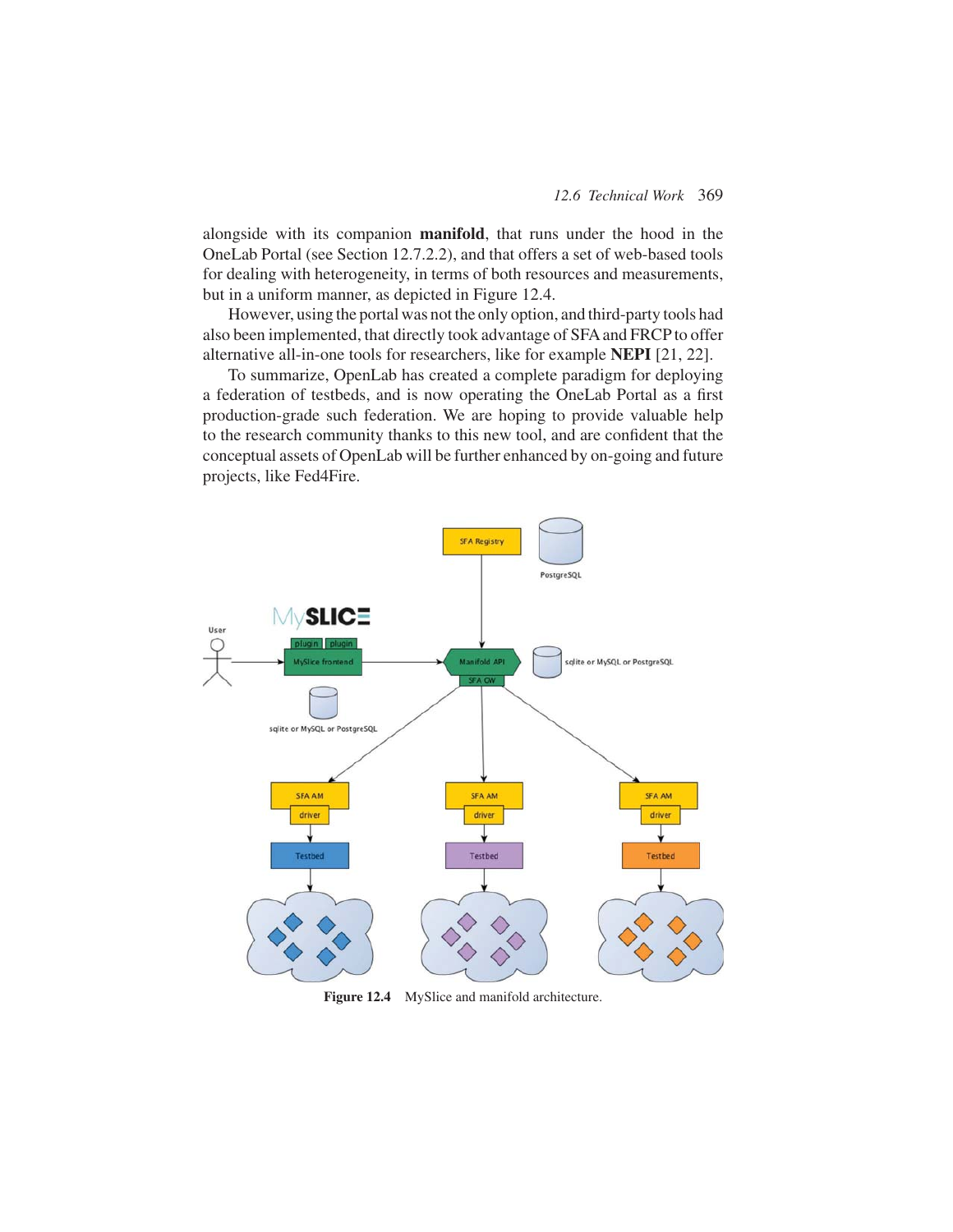alongside with its companion **manifold**, that runs under the hood in the OneLab Portal (see Section 12.7.2.2), and that offers a set of web-based tools for dealing with heterogeneity, in terms of both resources and measurements, but in a uniform manner, as depicted in Figure 12.4.

However, using the portal was not the only option, and third-party tools had also been implemented, that directly took advantage of SFA and FRCP to offer alternative all-in-one tools for researchers, like for example **NEPI** [21, 22].

To summarize, OpenLab has created a complete paradigm for deploying a federation of testbeds, and is now operating the OneLab Portal as a first production-grade such federation. We are hoping to provide valuable help to the research community thanks to this new tool, and are confident that the conceptual assets of OpenLab will be further enhanced by on-going and future projects, like Fed4Fire.



**Figure 12.4** MySlice and manifold architecture.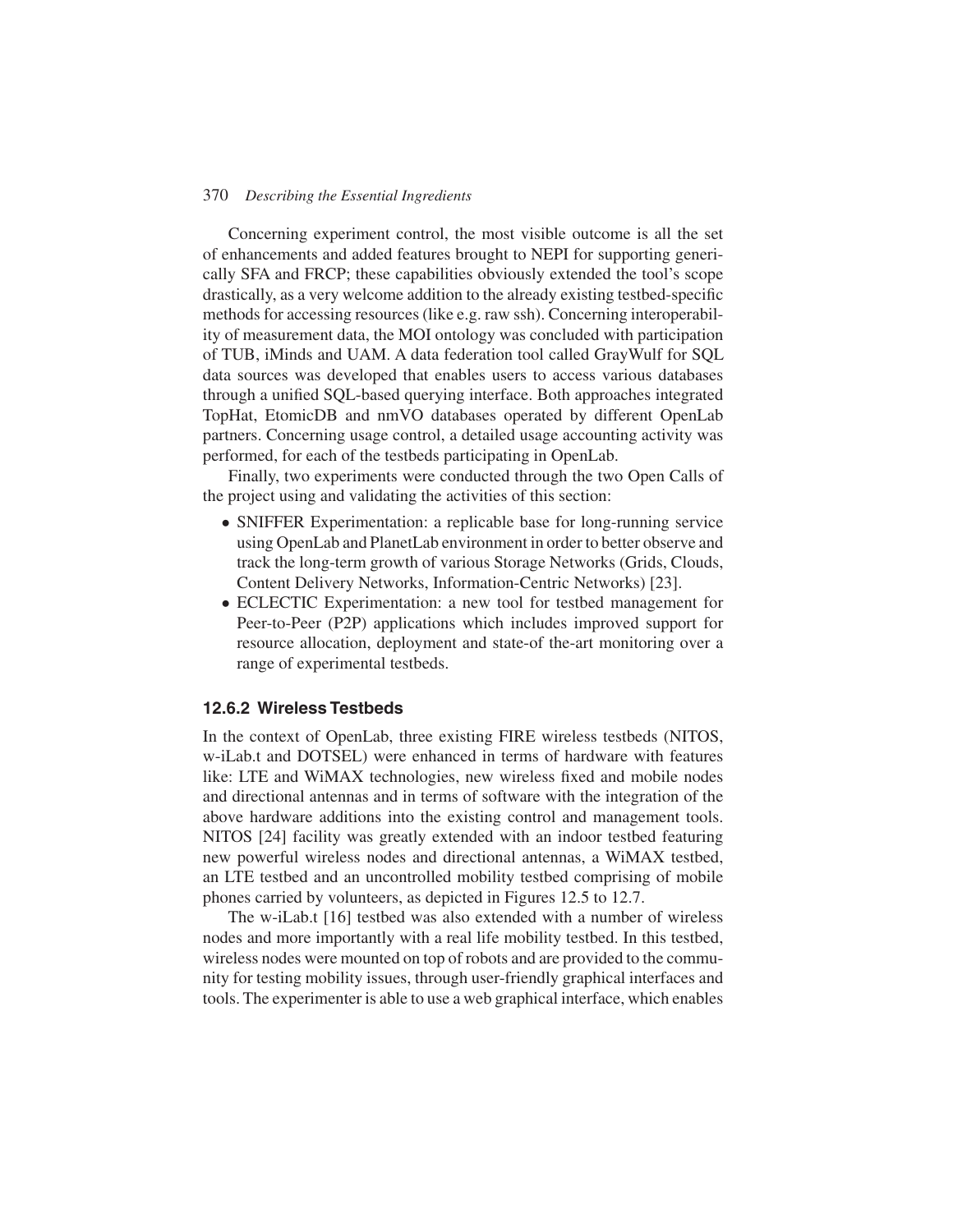Concerning experiment control, the most visible outcome is all the set of enhancements and added features brought to NEPI for supporting generically SFA and FRCP; these capabilities obviously extended the tool's scope drastically, as a very welcome addition to the already existing testbed-specific methods for accessing resources (like e.g. raw ssh). Concerning interoperability of measurement data, the MOI ontology was concluded with participation of TUB, iMinds and UAM. A data federation tool called GrayWulf for SQL data sources was developed that enables users to access various databases through a unified SQL-based querying interface. Both approaches integrated TopHat, EtomicDB and nmVO databases operated by different OpenLab partners. Concerning usage control, a detailed usage accounting activity was performed, for each of the testbeds participating in OpenLab.

Finally, two experiments were conducted through the two Open Calls of the project using and validating the activities of this section:

- SNIFFER Experimentation: a replicable base for long-running service using OpenLab and PlanetLab environment in order to better observe and track the long-term growth of various Storage Networks (Grids, Clouds, Content Delivery Networks, Information-Centric Networks) [23].
- ECLECTIC Experimentation: a new tool for testbed management for Peer-to-Peer (P2P) applications which includes improved support for resource allocation, deployment and state-of the-art monitoring over a range of experimental testbeds.

#### **12.6.2 Wireless Testbeds**

In the context of OpenLab, three existing FIRE wireless testbeds (NITOS, w-iLab.t and DOTSEL) were enhanced in terms of hardware with features like: LTE and WiMAX technologies, new wireless fixed and mobile nodes and directional antennas and in terms of software with the integration of the above hardware additions into the existing control and management tools. NITOS [24] facility was greatly extended with an indoor testbed featuring new powerful wireless nodes and directional antennas, a WiMAX testbed, an LTE testbed and an uncontrolled mobility testbed comprising of mobile phones carried by volunteers, as depicted in Figures 12.5 to 12.7.

The w-iLab.t [16] testbed was also extended with a number of wireless nodes and more importantly with a real life mobility testbed. In this testbed, wireless nodes were mounted on top of robots and are provided to the community for testing mobility issues, through user-friendly graphical interfaces and tools. The experimenter is able to use a web graphical interface, which enables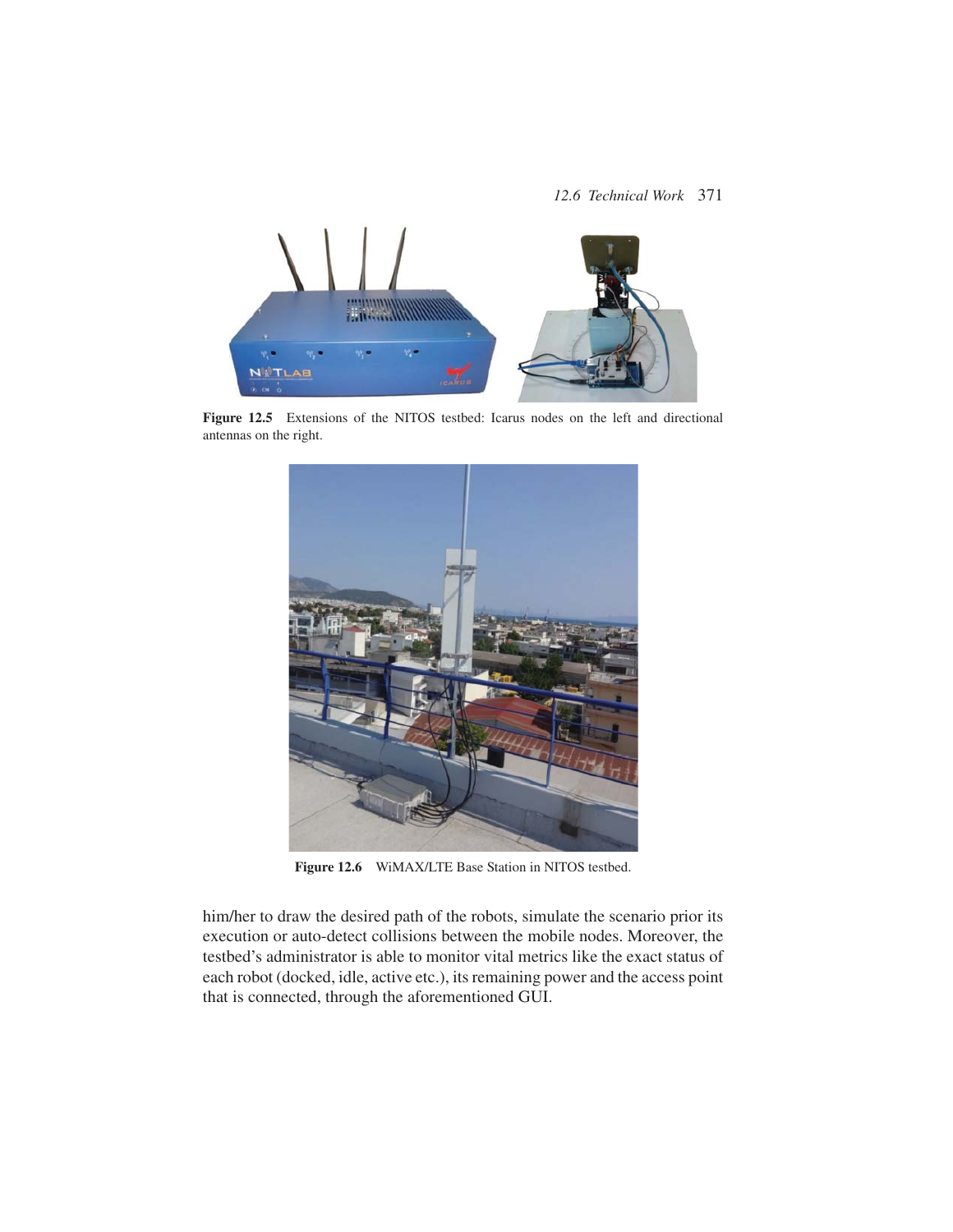*12.6 Technical Work* 371



Figure 12.5 Extensions of the NITOS testbed: Icarus nodes on the left and directional antennas on the right.



Figure 12.6 WiMAX/LTE Base Station in NITOS testbed.

him/her to draw the desired path of the robots, simulate the scenario prior its execution or auto-detect collisions between the mobile nodes. Moreover, the testbed's administrator is able to monitor vital metrics like the exact status of each robot (docked, idle, active etc.), its remaining power and the access point that is connected, through the aforementioned GUI.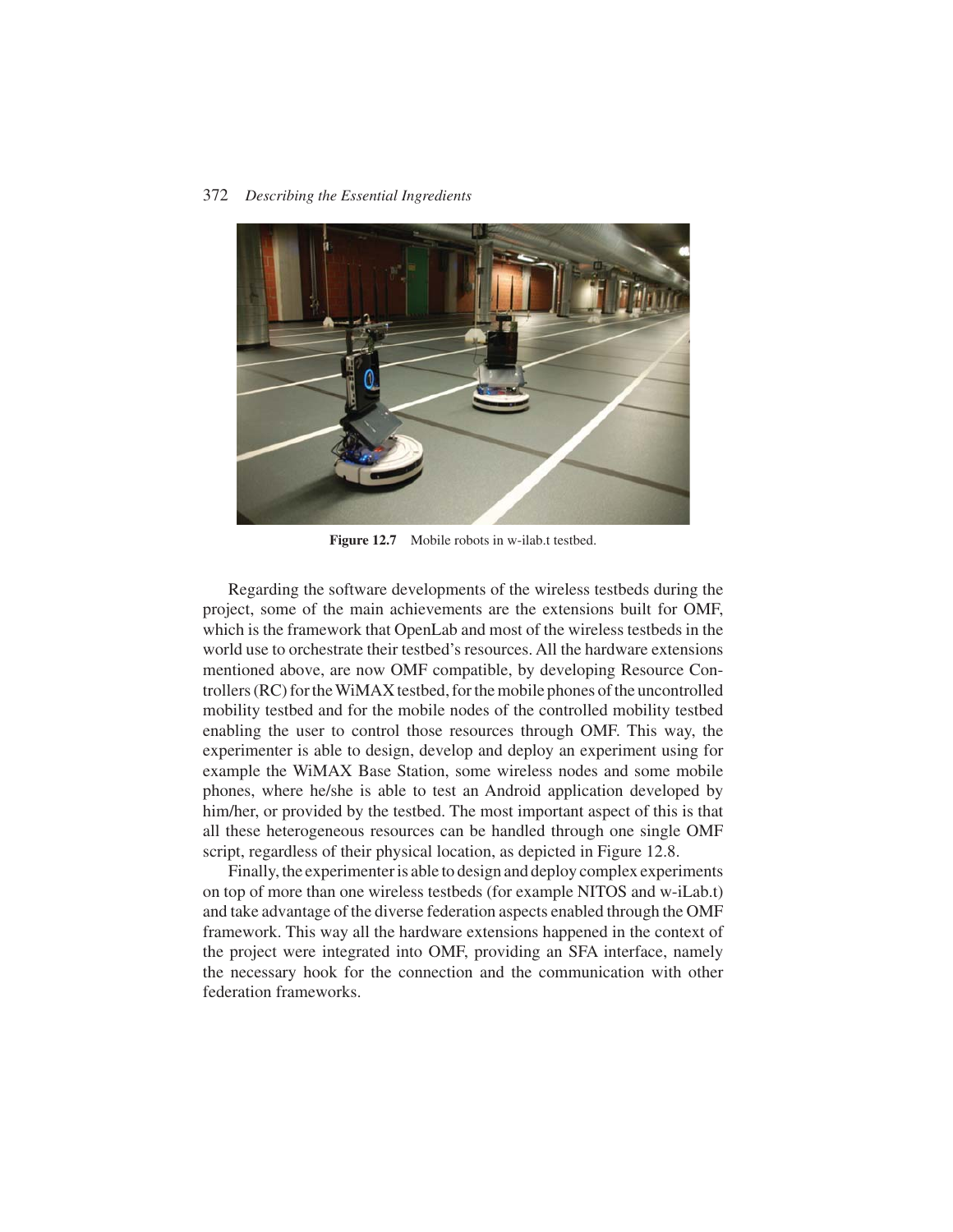

**Figure 12.7** Mobile robots in w-ilab.t testbed.

Regarding the software developments of the wireless testbeds during the project, some of the main achievements are the extensions built for OMF, which is the framework that OpenLab and most of the wireless testbeds in the world use to orchestrate their testbed's resources. All the hardware extensions mentioned above, are now OMF compatible, by developing Resource Controllers (RC) for theWiMAX testbed, for the mobile phones of the uncontrolled mobility testbed and for the mobile nodes of the controlled mobility testbed enabling the user to control those resources through OMF. This way, the experimenter is able to design, develop and deploy an experiment using for example the WiMAX Base Station, some wireless nodes and some mobile phones, where he/she is able to test an Android application developed by him/her, or provided by the testbed. The most important aspect of this is that all these heterogeneous resources can be handled through one single OMF script, regardless of their physical location, as depicted in Figure 12.8.

Finally, the experimenter is able to design and deploy complex experiments on top of more than one wireless testbeds (for example NITOS and w-iLab.t) and take advantage of the diverse federation aspects enabled through the OMF framework. This way all the hardware extensions happened in the context of the project were integrated into OMF, providing an SFA interface, namely the necessary hook for the connection and the communication with other federation frameworks.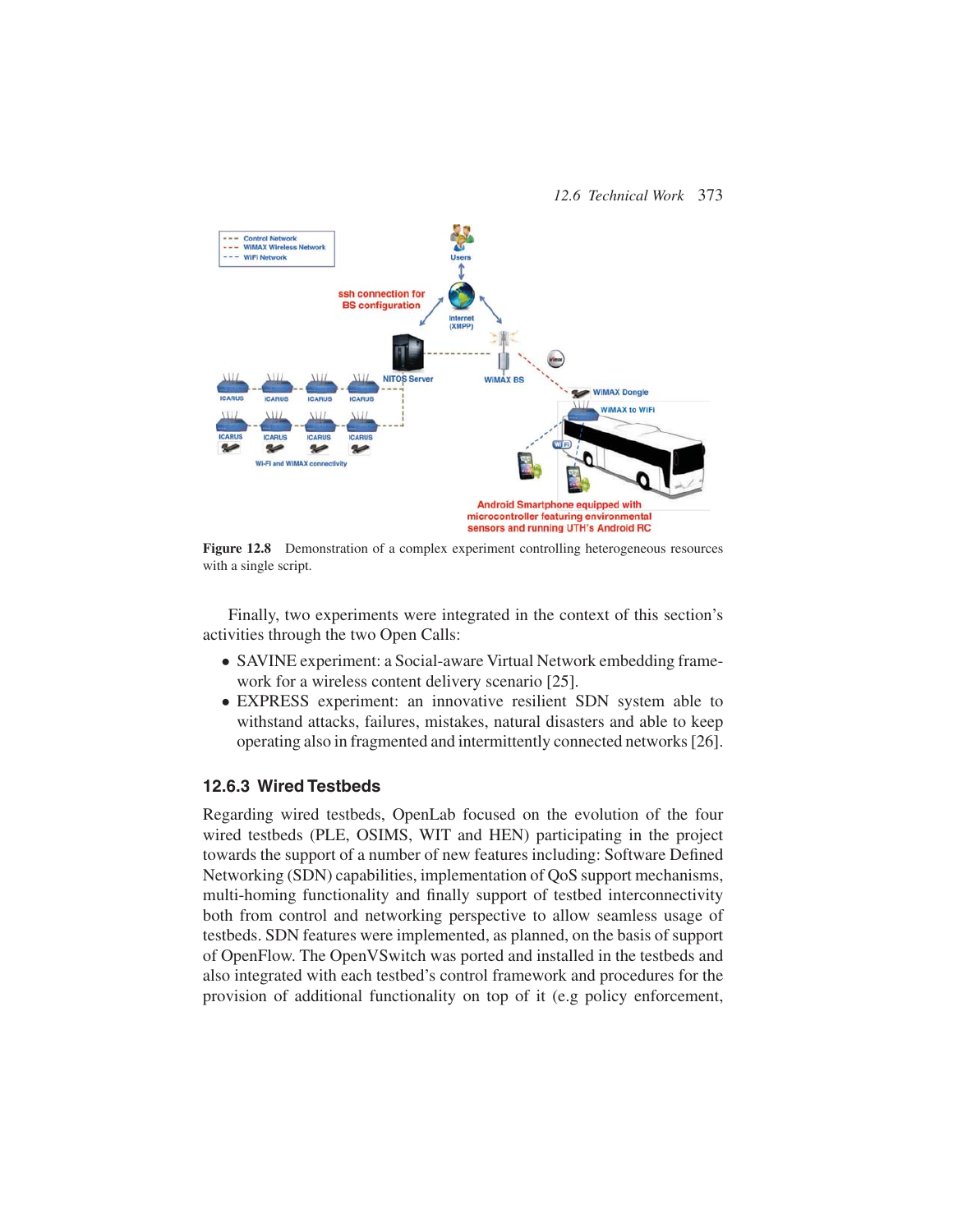

**Figure 12.8** Demonstration of a complex experiment controlling heterogeneous resources with a single script.

Finally, two experiments were integrated in the context of this section's activities through the two Open Calls:

- SAVINE experiment: a Social-aware Virtual Network embedding framework for a wireless content delivery scenario [25].
- EXPRESS experiment: an innovative resilient SDN system able to withstand attacks, failures, mistakes, natural disasters and able to keep operating also in fragmented and intermittently connected networks [26].

## **12.6.3 Wired Testbeds**

Regarding wired testbeds, OpenLab focused on the evolution of the four wired testbeds (PLE, OSIMS, WIT and HEN) participating in the project towards the support of a number of new features including: Software Defined Networking (SDN) capabilities, implementation of QoS support mechanisms, multi-homing functionality and finally support of testbed interconnectivity both from control and networking perspective to allow seamless usage of testbeds. SDN features were implemented, as planned, on the basis of support of OpenFlow. The OpenVSwitch was ported and installed in the testbeds and also integrated with each testbed's control framework and procedures for the provision of additional functionality on top of it (e.g policy enforcement,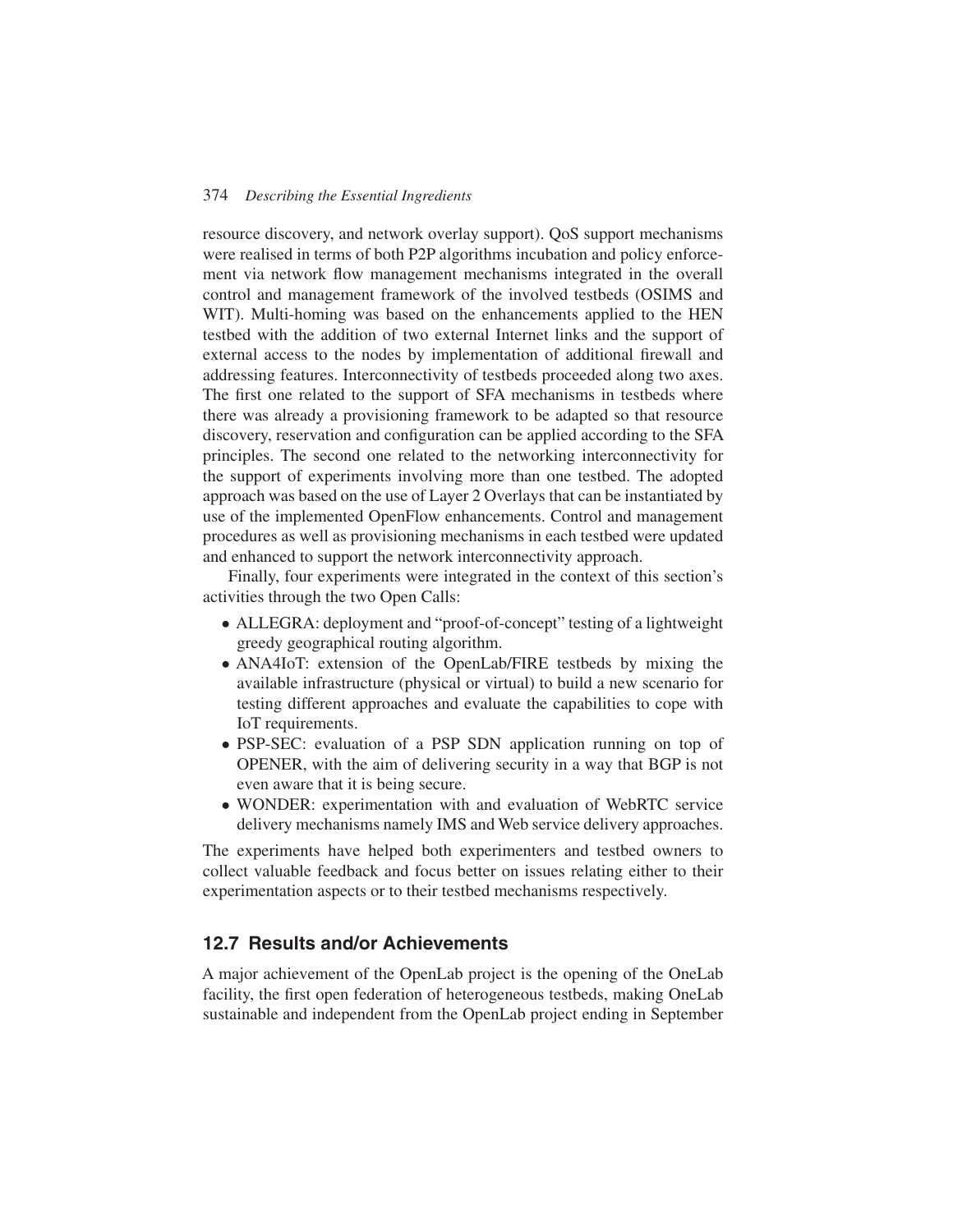resource discovery, and network overlay support). QoS support mechanisms were realised in terms of both P2P algorithms incubation and policy enforcement via network flow management mechanisms integrated in the overall control and management framework of the involved testbeds (OSIMS and WIT). Multi-homing was based on the enhancements applied to the HEN testbed with the addition of two external Internet links and the support of external access to the nodes by implementation of additional firewall and addressing features. Interconnectivity of testbeds proceeded along two axes. The first one related to the support of SFA mechanisms in testbeds where there was already a provisioning framework to be adapted so that resource discovery, reservation and configuration can be applied according to the SFA principles. The second one related to the networking interconnectivity for the support of experiments involving more than one testbed. The adopted approach was based on the use of Layer 2 Overlays that can be instantiated by use of the implemented OpenFlow enhancements. Control and management procedures as well as provisioning mechanisms in each testbed were updated and enhanced to support the network interconnectivity approach.

Finally, four experiments were integrated in the context of this section's activities through the two Open Calls:

- ALLEGRA: deployment and "proof-of-concept" testing of a lightweight greedy geographical routing algorithm.
- ANA4IoT: extension of the OpenLab/FIRE testbeds by mixing the available infrastructure (physical or virtual) to build a new scenario for testing different approaches and evaluate the capabilities to cope with IoT requirements.
- PSP-SEC: evaluation of a PSP SDN application running on top of OPENER, with the aim of delivering security in a way that BGP is not even aware that it is being secure.
- WONDER: experimentation with and evaluation of WebRTC service delivery mechanisms namely IMS and Web service delivery approaches.

The experiments have helped both experimenters and testbed owners to collect valuable feedback and focus better on issues relating either to their experimentation aspects or to their testbed mechanisms respectively.

## **12.7 Results and/or Achievements**

A major achievement of the OpenLab project is the opening of the OneLab facility, the first open federation of heterogeneous testbeds, making OneLab sustainable and independent from the OpenLab project ending in September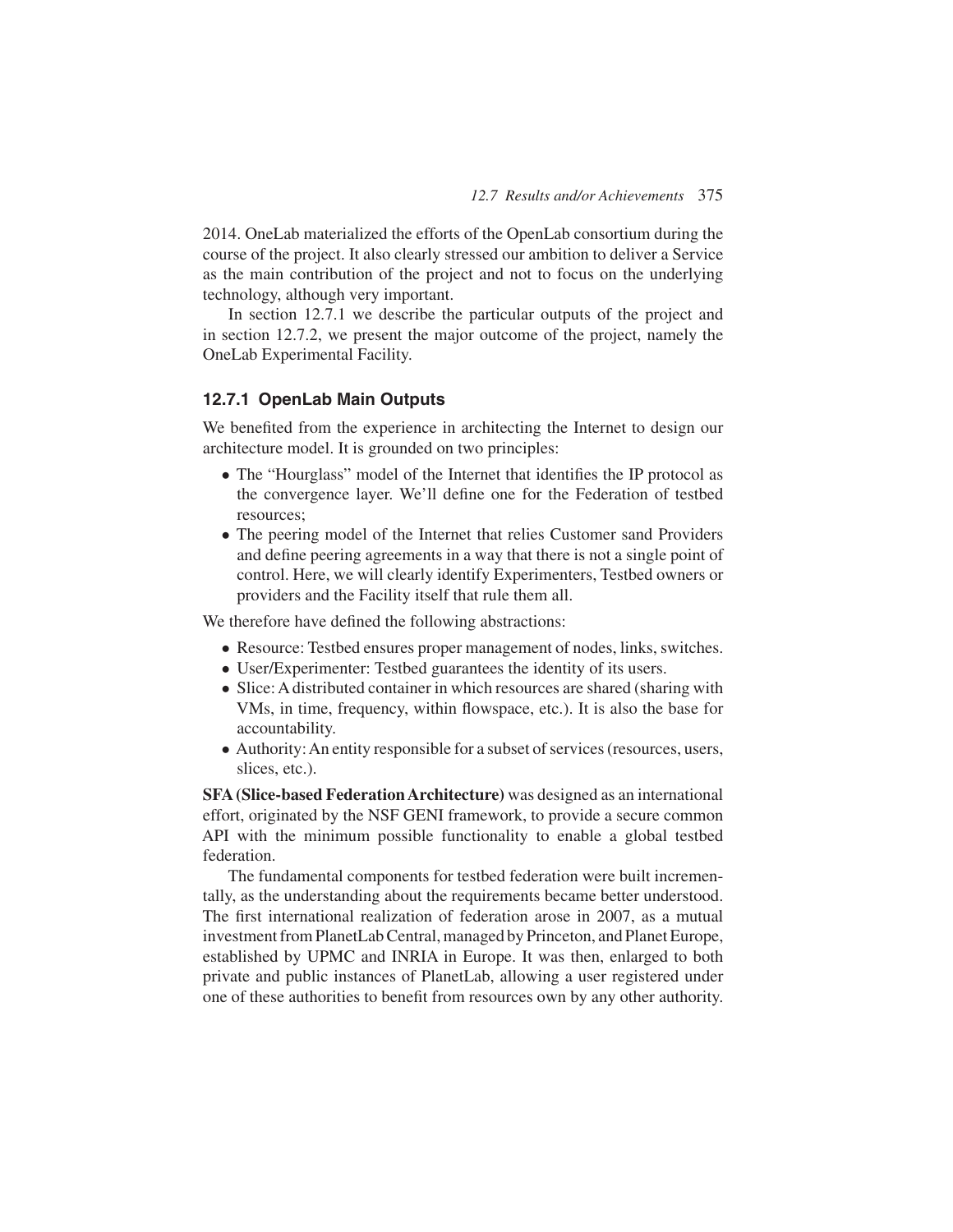2014. OneLab materialized the efforts of the OpenLab consortium during the course of the project. It also clearly stressed our ambition to deliver a Service as the main contribution of the project and not to focus on the underlying technology, although very important.

In section 12.7.1 we describe the particular outputs of the project and in section 12.7.2, we present the major outcome of the project, namely the OneLab Experimental Facility.

#### **12.7.1 OpenLab Main Outputs**

We benefited from the experience in architecting the Internet to design our architecture model. It is grounded on two principles:

- The "Hourglass" model of the Internet that identifies the IP protocol as the convergence layer. We'll define one for the Federation of testbed resources;
- The peering model of the Internet that relies Customer sand Providers and define peering agreements in a way that there is not a single point of control. Here, we will clearly identify Experimenters, Testbed owners or providers and the Facility itself that rule them all.

We therefore have defined the following abstractions:

- Resource: Testbed ensures proper management of nodes, links, switches.
- User/Experimenter: Testbed guarantees the identity of its users.
- Slice: A distributed container in which resources are shared (sharing with VMs, in time, frequency, within flowspace, etc.). It is also the base for accountability.
- Authority:An entity responsible for a subset of services (resources, users, slices, etc.).

**SFA (Slice-based Federation Architecture)** was designed as an international effort, originated by the NSF GENI framework, to provide a secure common API with the minimum possible functionality to enable a global testbed federation.

The fundamental components for testbed federation were built incrementally, as the understanding about the requirements became better understood. The first international realization of federation arose in 2007, as a mutual investment from PlanetLab Central, managed by Princeton, and Planet Europe, established by UPMC and INRIA in Europe. It was then, enlarged to both private and public instances of PlanetLab, allowing a user registered under one of these authorities to benefit from resources own by any other authority.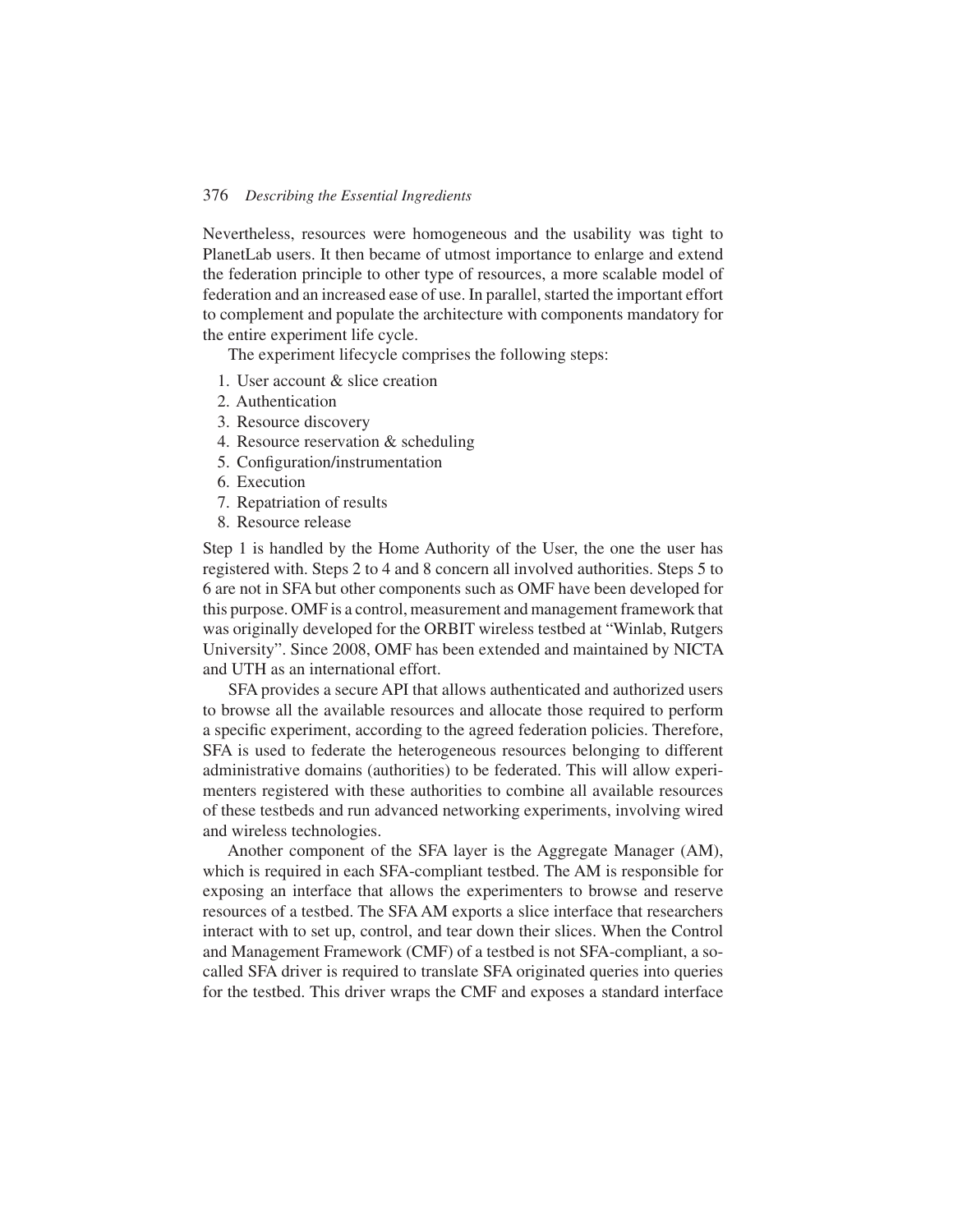Nevertheless, resources were homogeneous and the usability was tight to PlanetLab users. It then became of utmost importance to enlarge and extend the federation principle to other type of resources, a more scalable model of federation and an increased ease of use. In parallel, started the important effort to complement and populate the architecture with components mandatory for the entire experiment life cycle.

The experiment lifecycle comprises the following steps:

- 1. User account & slice creation
- 2. Authentication
- 3. Resource discovery
- 4. Resource reservation & scheduling
- 5. Configuration/instrumentation
- 6. Execution
- 7. Repatriation of results
- 8. Resource release

Step 1 is handled by the Home Authority of the User, the one the user has registered with. Steps 2 to 4 and 8 concern all involved authorities. Steps 5 to 6 are not in SFA but other components such as OMF have been developed for this purpose. OMF is a control, measurement and management framework that was originally developed for the ORBIT wireless testbed at "Winlab, Rutgers University". Since 2008, OMF has been extended and maintained by NICTA and UTH as an international effort.

SFA provides a secure API that allows authenticated and authorized users to browse all the available resources and allocate those required to perform a specific experiment, according to the agreed federation policies. Therefore, SFA is used to federate the heterogeneous resources belonging to different administrative domains (authorities) to be federated. This will allow experimenters registered with these authorities to combine all available resources of these testbeds and run advanced networking experiments, involving wired and wireless technologies.

Another component of the SFA layer is the Aggregate Manager (AM), which is required in each SFA-compliant testbed. The AM is responsible for exposing an interface that allows the experimenters to browse and reserve resources of a testbed. The SFA AM exports a slice interface that researchers interact with to set up, control, and tear down their slices. When the Control and Management Framework (CMF) of a testbed is not SFA-compliant, a socalled SFA driver is required to translate SFA originated queries into queries for the testbed. This driver wraps the CMF and exposes a standard interface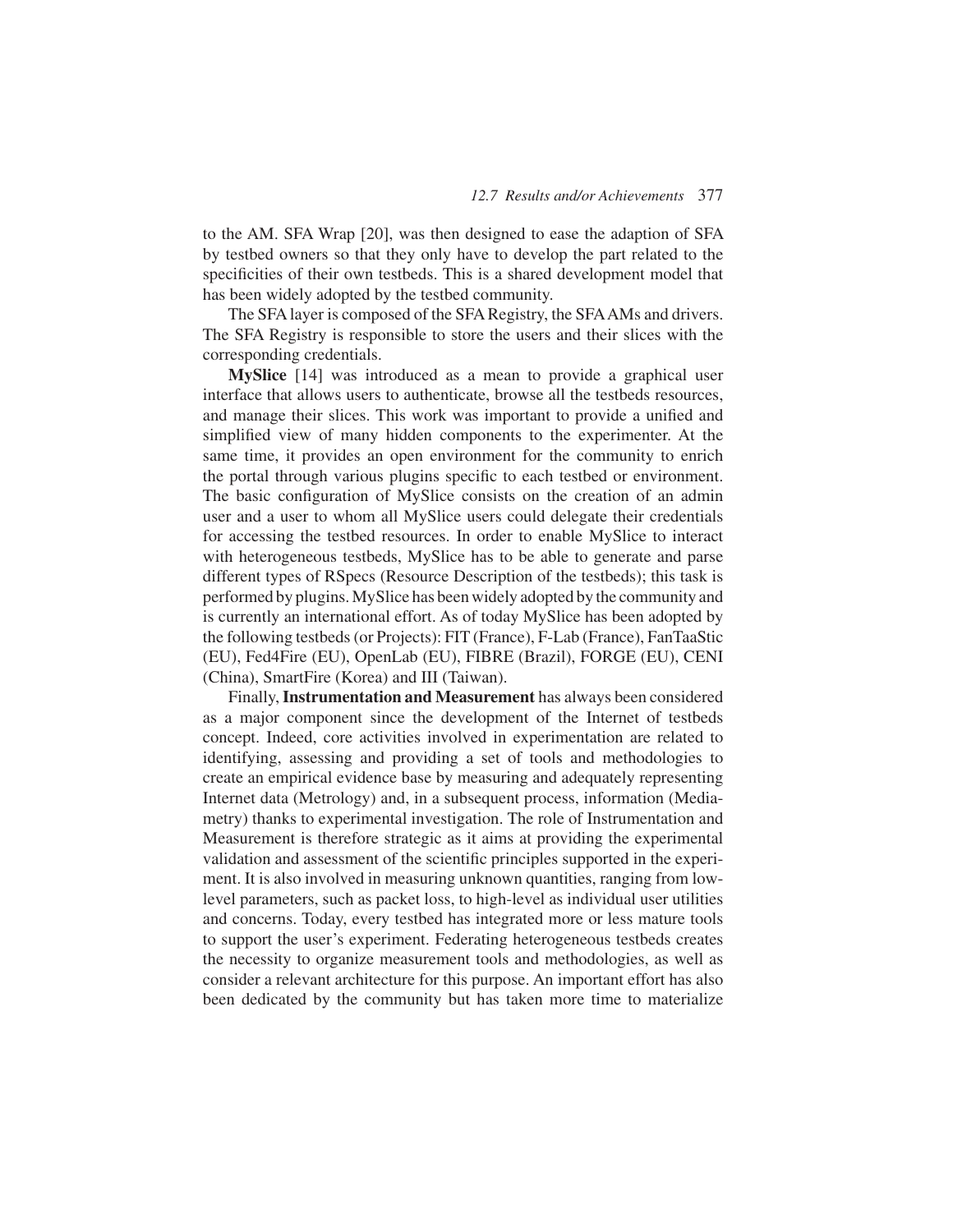to the AM. SFA Wrap [20], was then designed to ease the adaption of SFA by testbed owners so that they only have to develop the part related to the specificities of their own testbeds. This is a shared development model that has been widely adopted by the testbed community.

The SFAlayer is composed of the SFA Registry, the SFAAMs and drivers. The SFA Registry is responsible to store the users and their slices with the corresponding credentials.

**MySlice** [14] was introduced as a mean to provide a graphical user interface that allows users to authenticate, browse all the testbeds resources, and manage their slices. This work was important to provide a unified and simplified view of many hidden components to the experimenter. At the same time, it provides an open environment for the community to enrich the portal through various plugins specific to each testbed or environment. The basic configuration of MySlice consists on the creation of an admin user and a user to whom all MySlice users could delegate their credentials for accessing the testbed resources. In order to enable MySlice to interact with heterogeneous testbeds, MySlice has to be able to generate and parse different types of RSpecs (Resource Description of the testbeds); this task is performed by plugins.MySlice has been widely adopted by the community and is currently an international effort. As of today MySlice has been adopted by the following testbeds (or Projects): FIT (France), F-Lab (France), FanTaaStic (EU), Fed4Fire (EU), OpenLab (EU), FIBRE (Brazil), FORGE (EU), CENI (China), SmartFire (Korea) and III (Taiwan).

Finally,**Instrumentation and Measurement** has always been considered as a major component since the development of the Internet of testbeds concept. Indeed, core activities involved in experimentation are related to identifying, assessing and providing a set of tools and methodologies to create an empirical evidence base by measuring and adequately representing Internet data (Metrology) and, in a subsequent process, information (Mediametry) thanks to experimental investigation. The role of Instrumentation and Measurement is therefore strategic as it aims at providing the experimental validation and assessment of the scientific principles supported in the experiment. It is also involved in measuring unknown quantities, ranging from lowlevel parameters, such as packet loss, to high-level as individual user utilities and concerns. Today, every testbed has integrated more or less mature tools to support the user's experiment. Federating heterogeneous testbeds creates the necessity to organize measurement tools and methodologies, as well as consider a relevant architecture for this purpose. An important effort has also been dedicated by the community but has taken more time to materialize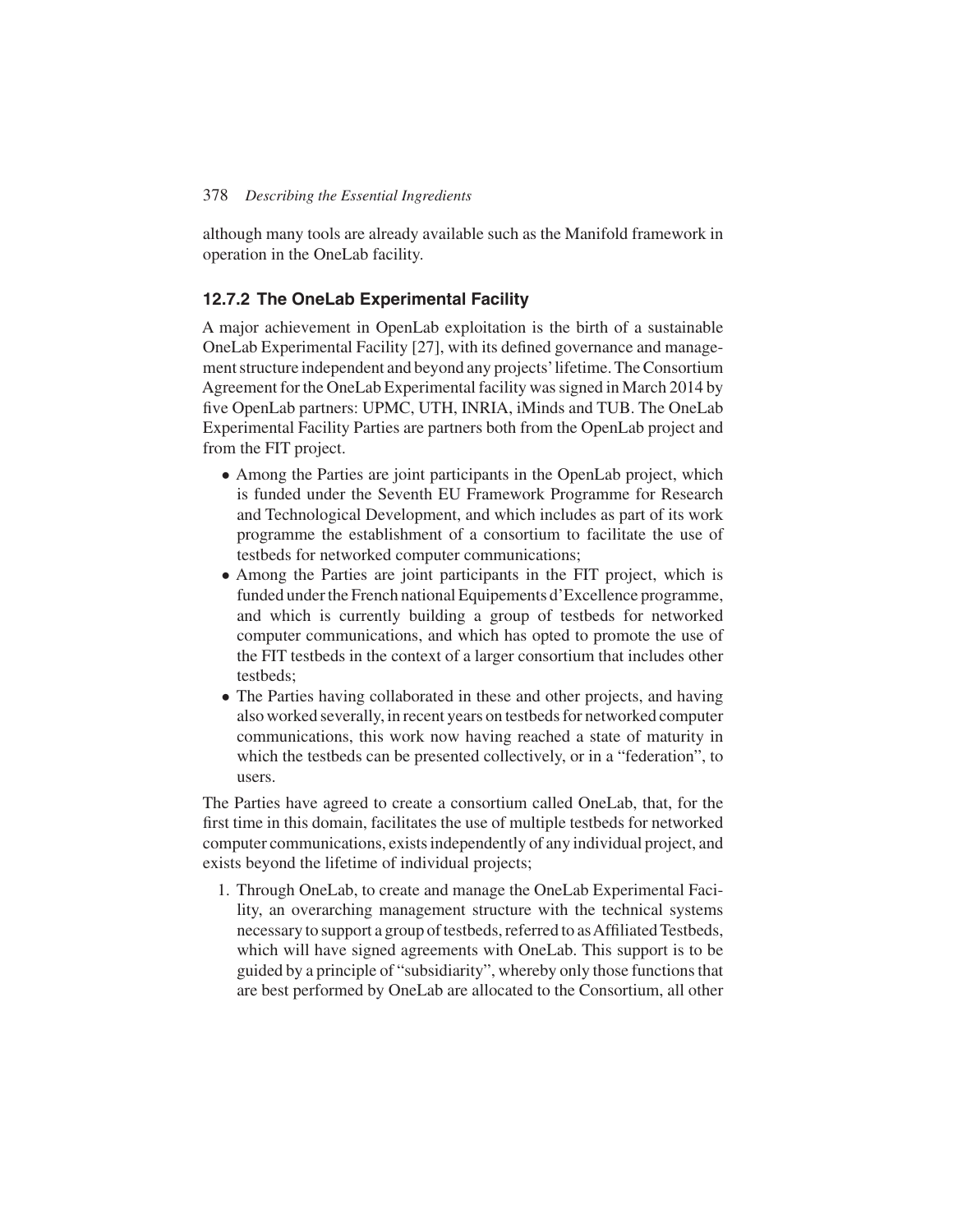although many tools are already available such as the Manifold framework in operation in the OneLab facility.

## **12.7.2 The OneLab Experimental Facility**

A major achievement in OpenLab exploitation is the birth of a sustainable OneLab Experimental Facility [27], with its defined governance and management structure independent and beyond any projects'lifetime. The Consortium Agreement for the OneLab Experimental facility was signed in March 2014 by five OpenLab partners: UPMC, UTH, INRIA, iMinds and TUB. The OneLab Experimental Facility Parties are partners both from the OpenLab project and from the FIT project.

- Among the Parties are joint participants in the OpenLab project, which is funded under the Seventh EU Framework Programme for Research and Technological Development, and which includes as part of its work programme the establishment of a consortium to facilitate the use of testbeds for networked computer communications;
- Among the Parties are joint participants in the FIT project, which is funded under the French national Equipements d'Excellence programme, and which is currently building a group of testbeds for networked computer communications, and which has opted to promote the use of the FIT testbeds in the context of a larger consortium that includes other testbeds;
- The Parties having collaborated in these and other projects, and having also worked severally, in recent years on testbeds for networked computer communications, this work now having reached a state of maturity in which the testbeds can be presented collectively, or in a "federation", to users.

The Parties have agreed to create a consortium called OneLab, that, for the first time in this domain, facilitates the use of multiple testbeds for networked computer communications, exists independently of any individual project, and exists beyond the lifetime of individual projects;

1. Through OneLab, to create and manage the OneLab Experimental Facility, an overarching management structure with the technical systems necessary to support a group of testbeds, referred to as Affiliated Testbeds, which will have signed agreements with OneLab. This support is to be guided by a principle of "subsidiarity", whereby only those functions that are best performed by OneLab are allocated to the Consortium, all other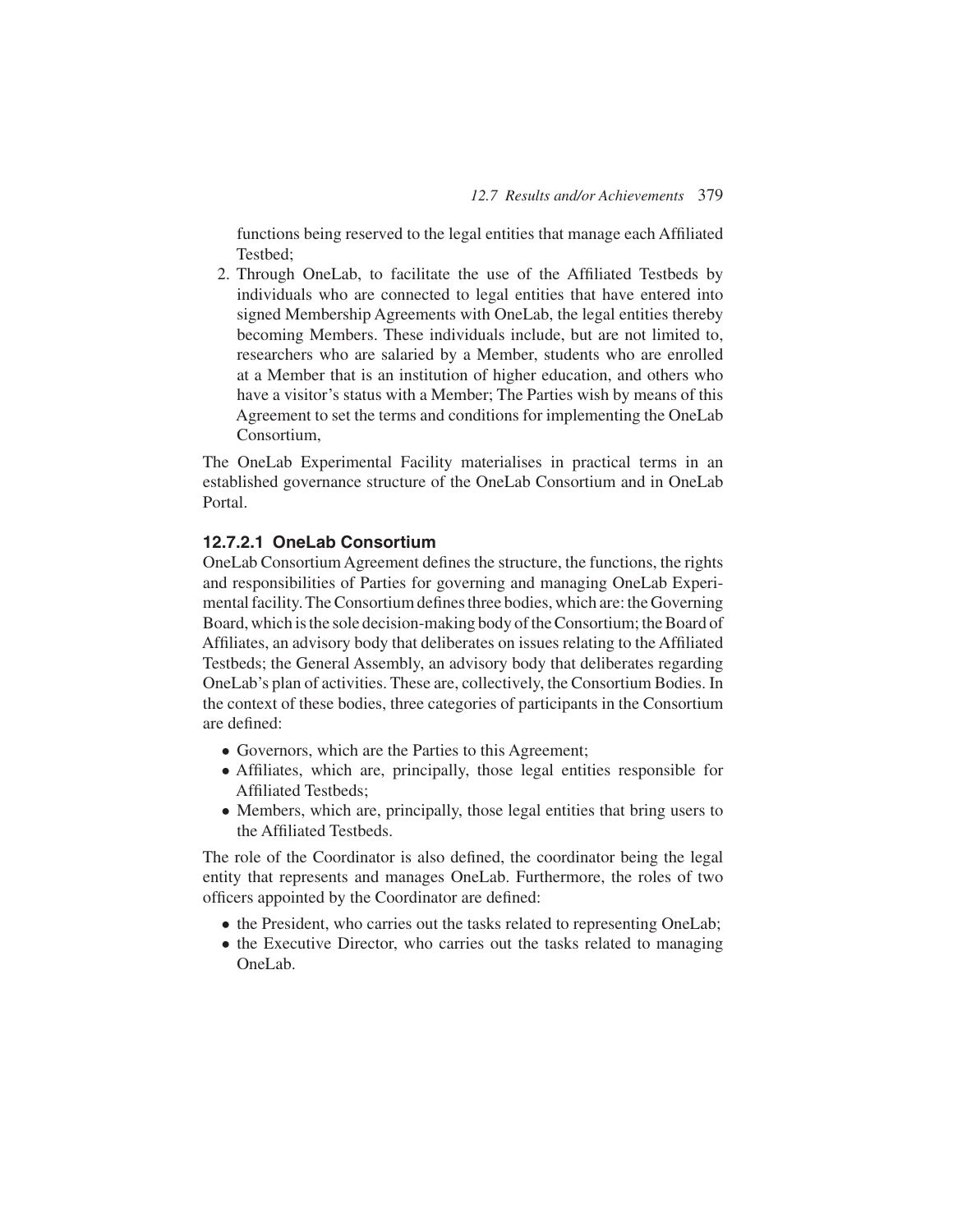functions being reserved to the legal entities that manage each Affiliated Testbed;

2. Through OneLab, to facilitate the use of the Affiliated Testbeds by individuals who are connected to legal entities that have entered into signed Membership Agreements with OneLab, the legal entities thereby becoming Members. These individuals include, but are not limited to, researchers who are salaried by a Member, students who are enrolled at a Member that is an institution of higher education, and others who have a visitor's status with a Member; The Parties wish by means of this Agreement to set the terms and conditions for implementing the OneLab Consortium,

The OneLab Experimental Facility materialises in practical terms in an established governance structure of the OneLab Consortium and in OneLab Portal.

## **12.7.2.1 OneLab Consortium**

OneLab Consortium Agreement defines the structure, the functions, the rights and responsibilities of Parties for governing and managing OneLab Experimental facility. The Consortium defines three bodies, which are: the Governing Board, which is the sole decision-making body of the Consortium; the Board of Affiliates, an advisory body that deliberates on issues relating to the Affiliated Testbeds; the General Assembly, an advisory body that deliberates regarding OneLab's plan of activities. These are, collectively, the Consortium Bodies. In the context of these bodies, three categories of participants in the Consortium are defined:

- Governors, which are the Parties to this Agreement;
- Affiliates, which are, principally, those legal entities responsible for Affiliated Testbeds;
- Members, which are, principally, those legal entities that bring users to the Affiliated Testbeds.

The role of the Coordinator is also defined, the coordinator being the legal entity that represents and manages OneLab. Furthermore, the roles of two officers appointed by the Coordinator are defined:

- the President, who carries out the tasks related to representing OneLab;
- the Executive Director, who carries out the tasks related to managing OneLab.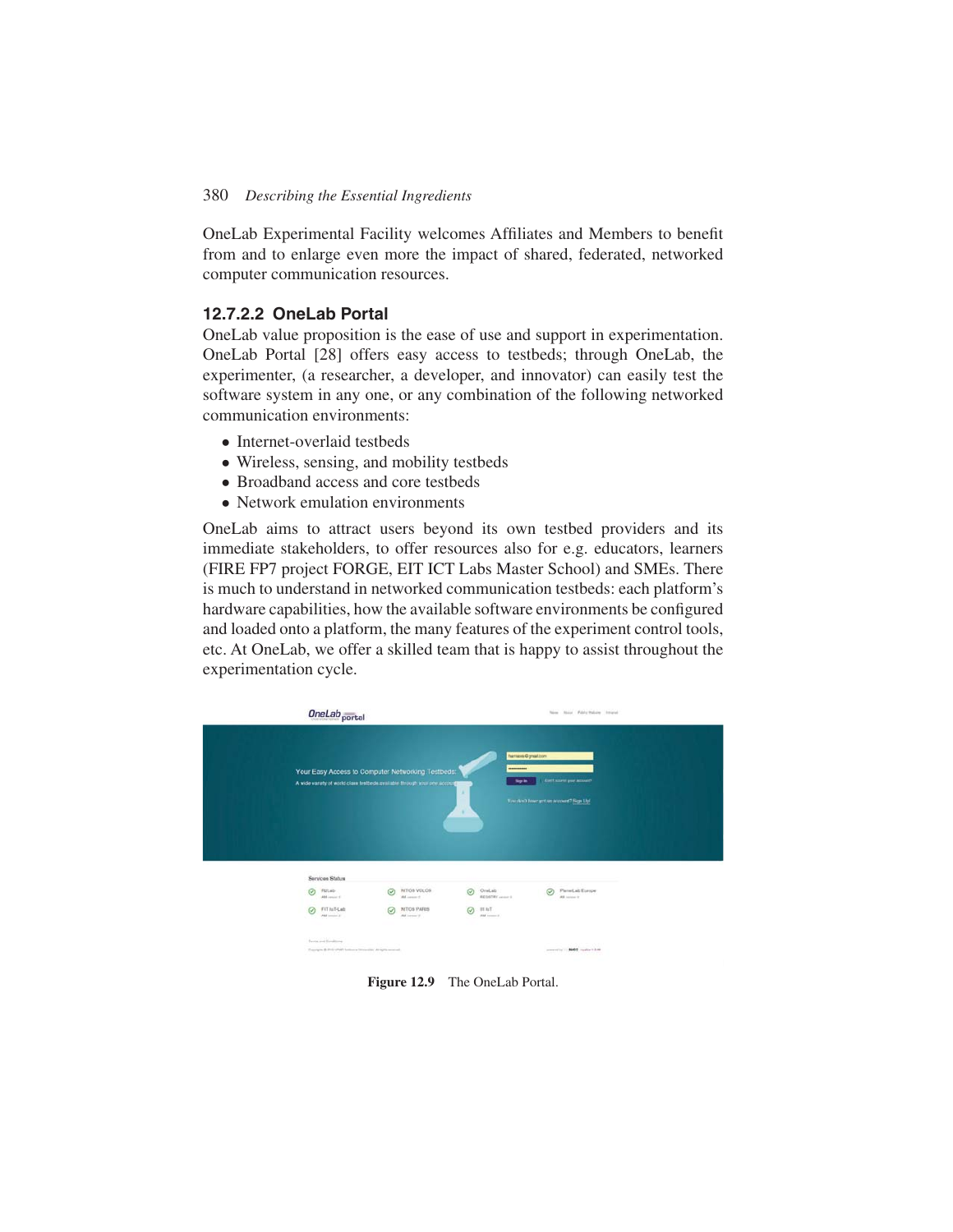OneLab Experimental Facility welcomes Affiliates and Members to benefit from and to enlarge even more the impact of shared, federated, networked computer communication resources.

## **12.7.2.2 OneLab Portal**

OneLab value proposition is the ease of use and support in experimentation. OneLab Portal [28] offers easy access to testbeds; through OneLab, the experimenter, (a researcher, a developer, and innovator) can easily test the software system in any one, or any combination of the following networked communication environments:

- Internet-overlaid testbeds
- Wireless, sensing, and mobility testbeds
- Broadband access and core testbeds
- Network emulation environments

OneLab aims to attract users beyond its own testbed providers and its immediate stakeholders, to offer resources also for e.g. educators, learners (FIRE FP7 project FORGE, EIT ICT Labs Master School) and SMEs. There is much to understand in networked communication testbeds: each platform's hardware capabilities, how the available software environments be configured and loaded onto a platform, the many features of the experiment control tools, etc. At OneLab, we offer a skilled team that is happy to assist throughout the experimentation cycle.



**Figure 12.9** The OneLab Portal.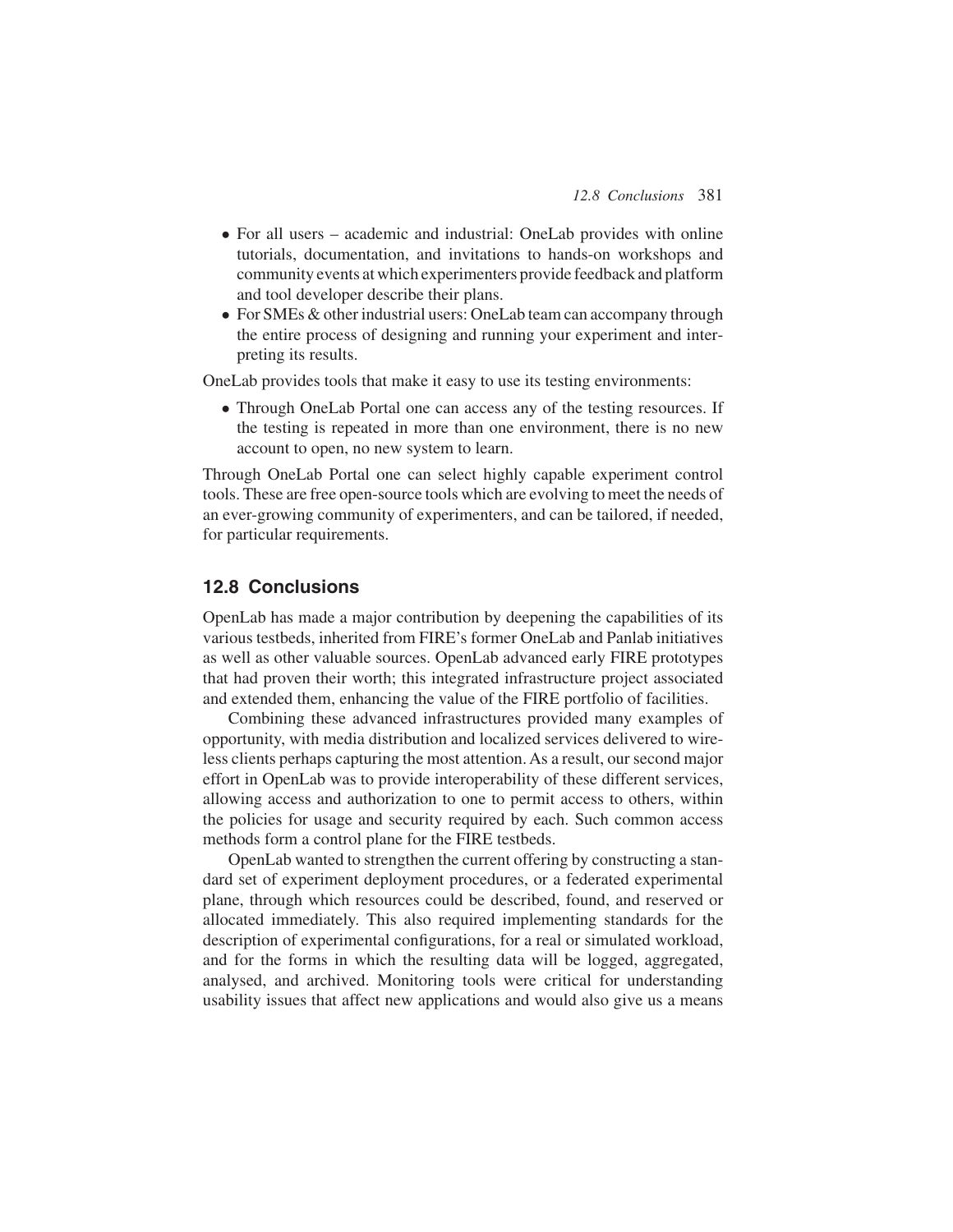- For all users academic and industrial: OneLab provides with online tutorials, documentation, and invitations to hands-on workshops and community events at which experimenters provide feedback and platform and tool developer describe their plans.
- For SMEs & other industrial users: OneLab team can accompany through the entire process of designing and running your experiment and interpreting its results.

OneLab provides tools that make it easy to use its testing environments:

• Through OneLab Portal one can access any of the testing resources. If the testing is repeated in more than one environment, there is no new account to open, no new system to learn.

Through OneLab Portal one can select highly capable experiment control tools. These are free open-source tools which are evolving to meet the needs of an ever-growing community of experimenters, and can be tailored, if needed, for particular requirements.

## **12.8 Conclusions**

OpenLab has made a major contribution by deepening the capabilities of its various testbeds, inherited from FIRE's former OneLab and Panlab initiatives as well as other valuable sources. OpenLab advanced early FIRE prototypes that had proven their worth; this integrated infrastructure project associated and extended them, enhancing the value of the FIRE portfolio of facilities.

Combining these advanced infrastructures provided many examples of opportunity, with media distribution and localized services delivered to wireless clients perhaps capturing the most attention. As a result, our second major effort in OpenLab was to provide interoperability of these different services, allowing access and authorization to one to permit access to others, within the policies for usage and security required by each. Such common access methods form a control plane for the FIRE testbeds.

OpenLab wanted to strengthen the current offering by constructing a standard set of experiment deployment procedures, or a federated experimental plane, through which resources could be described, found, and reserved or allocated immediately. This also required implementing standards for the description of experimental configurations, for a real or simulated workload, and for the forms in which the resulting data will be logged, aggregated, analysed, and archived. Monitoring tools were critical for understanding usability issues that affect new applications and would also give us a means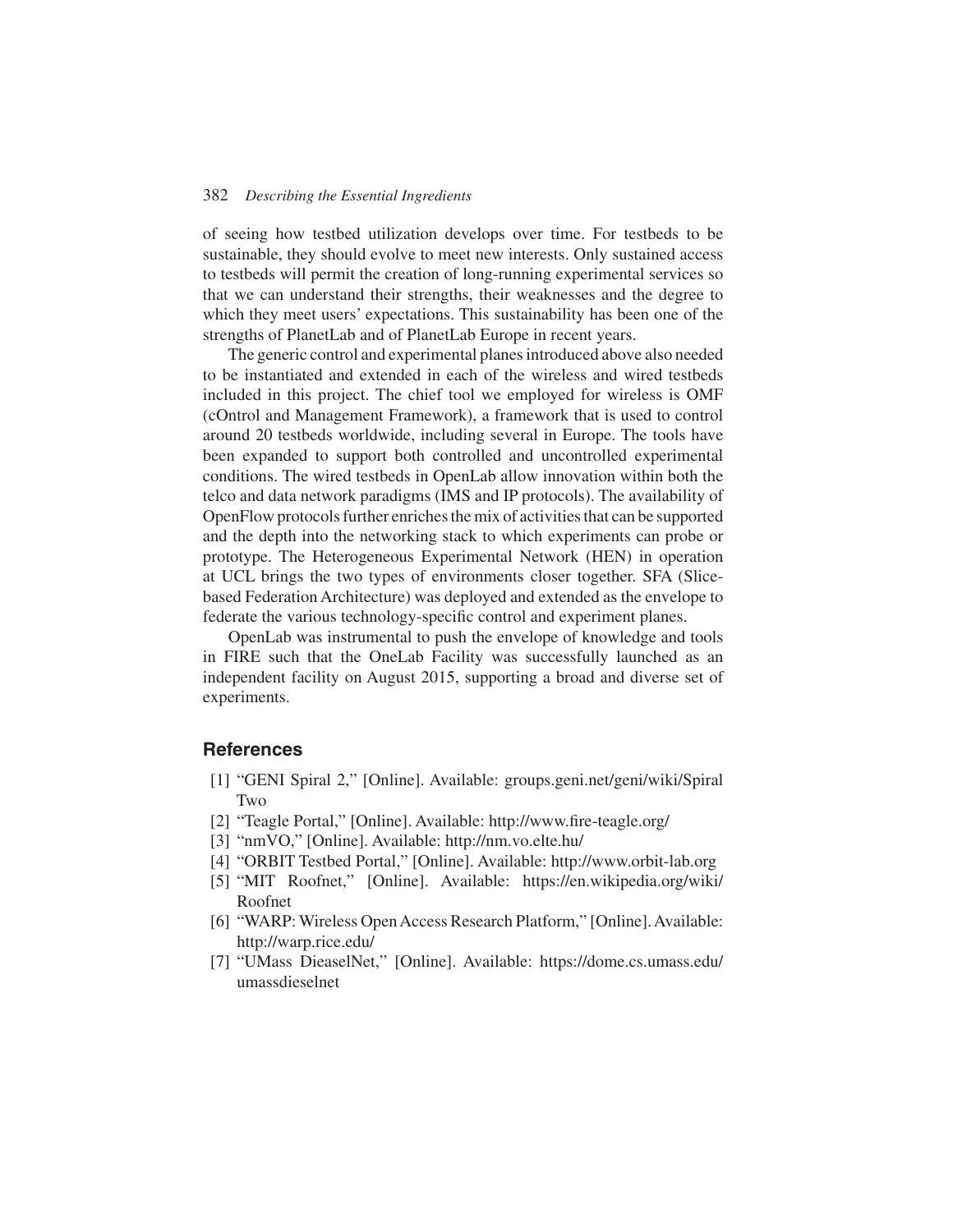of seeing how testbed utilization develops over time. For testbeds to be sustainable, they should evolve to meet new interests. Only sustained access to testbeds will permit the creation of long-running experimental services so that we can understand their strengths, their weaknesses and the degree to which they meet users' expectations. This sustainability has been one of the strengths of PlanetLab and of PlanetLab Europe in recent years.

The generic control and experimental planes introduced above also needed to be instantiated and extended in each of the wireless and wired testbeds included in this project. The chief tool we employed for wireless is OMF (cOntrol and Management Framework), a framework that is used to control around 20 testbeds worldwide, including several in Europe. The tools have been expanded to support both controlled and uncontrolled experimental conditions. The wired testbeds in OpenLab allow innovation within both the telco and data network paradigms (IMS and IP protocols). The availability of OpenFlow protocols further enriches the mix of activities that can be supported and the depth into the networking stack to which experiments can probe or prototype. The Heterogeneous Experimental Network (HEN) in operation at UCL brings the two types of environments closer together. SFA (Slicebased Federation Architecture) was deployed and extended as the envelope to federate the various technology-specific control and experiment planes.

OpenLab was instrumental to push the envelope of knowledge and tools in FIRE such that the OneLab Facility was successfully launched as an independent facility on August 2015, supporting a broad and diverse set of experiments.

#### **References**

- [1] "GENI Spiral 2," [Online]. Available: groups.geni.net/geni/wiki/Spiral Two
- [2] "Teagle Portal," [Online]. Available: http://www.fire-teagle.org/
- [3] "nmVO," [Online]. Available: http://nm.vo.elte.hu/
- [4] "ORBIT Testbed Portal," [Online]. Available: http://www.orbit-lab.org
- [5] "MIT Roofnet," [Online]. Available: https://en.wikipedia.org/wiki/ Roofnet
- [6] "WARP: Wireless Open Access Research Platform," [Online]. Available: http://warp.rice.edu/
- [7] "UMass DieaselNet," [Online]. Available: https://dome.cs.umass.edu/ umassdieselnet